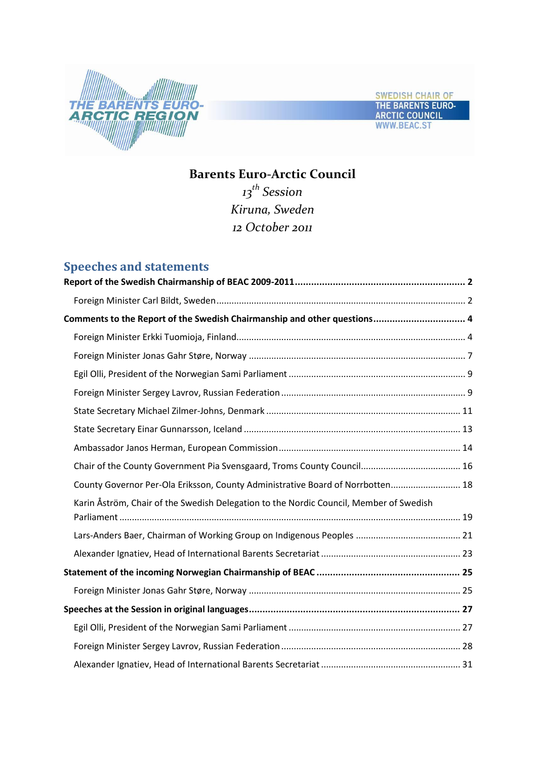



# **Barents Euro-Arctic Council**

*13th Session Kiruna, Sweden 12 October 2011*

# **Speeches and statements**

| Comments to the Report of the Swedish Chairmanship and other questions 4               |  |
|----------------------------------------------------------------------------------------|--|
|                                                                                        |  |
|                                                                                        |  |
|                                                                                        |  |
|                                                                                        |  |
|                                                                                        |  |
|                                                                                        |  |
|                                                                                        |  |
|                                                                                        |  |
| County Governor Per-Ola Eriksson, County Administrative Board of Norrbotten 18         |  |
| Karin Åström, Chair of the Swedish Delegation to the Nordic Council, Member of Swedish |  |
|                                                                                        |  |
|                                                                                        |  |
|                                                                                        |  |
|                                                                                        |  |
|                                                                                        |  |
|                                                                                        |  |
|                                                                                        |  |
|                                                                                        |  |
|                                                                                        |  |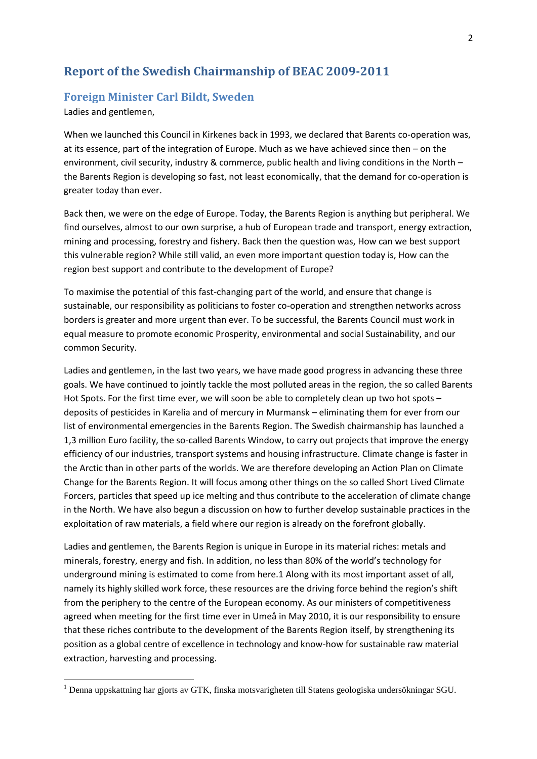# <span id="page-1-0"></span>**Report of the Swedish Chairmanship of BEAC 2009-2011**

### <span id="page-1-1"></span>**Foreign Minister Carl Bildt, Sweden**

Ladies and gentlemen,

**.** 

When we launched this Council in Kirkenes back in 1993, we declared that Barents co-operation was, at its essence, part of the integration of Europe. Much as we have achieved since then – on the environment, civil security, industry & commerce, public health and living conditions in the North – the Barents Region is developing so fast, not least economically, that the demand for co-operation is greater today than ever.

Back then, we were on the edge of Europe. Today, the Barents Region is anything but peripheral. We find ourselves, almost to our own surprise, a hub of European trade and transport, energy extraction, mining and processing, forestry and fishery. Back then the question was, How can we best support this vulnerable region? While still valid, an even more important question today is, How can the region best support and contribute to the development of Europe?

To maximise the potential of this fast-changing part of the world, and ensure that change is sustainable, our responsibility as politicians to foster co-operation and strengthen networks across borders is greater and more urgent than ever. To be successful, the Barents Council must work in equal measure to promote economic Prosperity, environmental and social Sustainability, and our common Security.

Ladies and gentlemen, in the last two years, we have made good progress in advancing these three goals. We have continued to jointly tackle the most polluted areas in the region, the so called Barents Hot Spots. For the first time ever, we will soon be able to completely clean up two hot spots – deposits of pesticides in Karelia and of mercury in Murmansk – eliminating them for ever from our list of environmental emergencies in the Barents Region. The Swedish chairmanship has launched a 1,3 million Euro facility, the so-called Barents Window, to carry out projects that improve the energy efficiency of our industries, transport systems and housing infrastructure. Climate change is faster in the Arctic than in other parts of the worlds. We are therefore developing an Action Plan on Climate Change for the Barents Region. It will focus among other things on the so called Short Lived Climate Forcers, particles that speed up ice melting and thus contribute to the acceleration of climate change in the North. We have also begun a discussion on how to further develop sustainable practices in the exploitation of raw materials, a field where our region is already on the forefront globally.

Ladies and gentlemen, the Barents Region is unique in Europe in its material riches: metals and minerals, forestry, energy and fish. In addition, no less than 80% of the world's technology for underground mining is estimated to come from here.1 Along with its most important asset of all, namely its highly skilled work force, these resources are the driving force behind the region's shift from the periphery to the centre of the European economy. As our ministers of competitiveness agreed when meeting for the first time ever in Umeå in May 2010, it is our responsibility to ensure that these riches contribute to the development of the Barents Region itself, by strengthening its position as a global centre of excellence in technology and know-how for sustainable raw material extraction, harvesting and processing.

 $1$  Denna uppskattning har gjorts av GTK, finska motsvarigheten till Statens geologiska undersökningar SGU.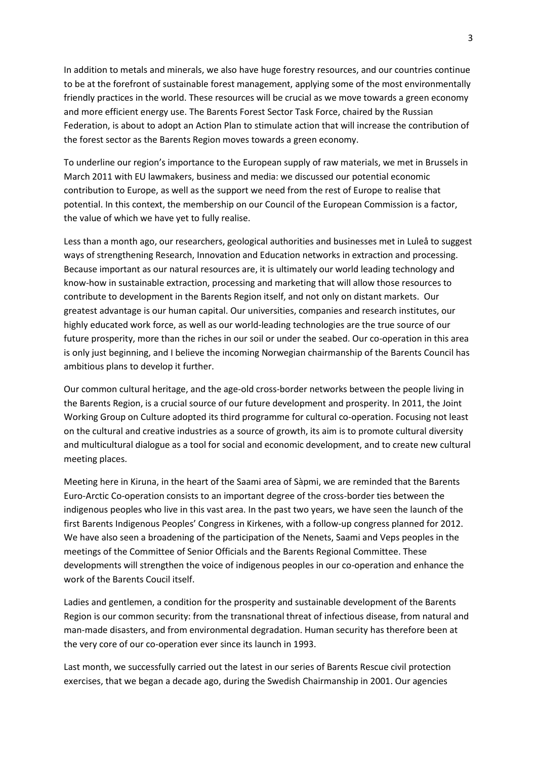In addition to metals and minerals, we also have huge forestry resources, and our countries continue to be at the forefront of sustainable forest management, applying some of the most environmentally friendly practices in the world. These resources will be crucial as we move towards a green economy and more efficient energy use. The Barents Forest Sector Task Force, chaired by the Russian Federation, is about to adopt an Action Plan to stimulate action that will increase the contribution of the forest sector as the Barents Region moves towards a green economy.

To underline our region's importance to the European supply of raw materials, we met in Brussels in March 2011 with EU lawmakers, business and media: we discussed our potential economic contribution to Europe, as well as the support we need from the rest of Europe to realise that potential. In this context, the membership on our Council of the European Commission is a factor, the value of which we have yet to fully realise.

Less than a month ago, our researchers, geological authorities and businesses met in Luleå to suggest ways of strengthening Research, Innovation and Education networks in extraction and processing. Because important as our natural resources are, it is ultimately our world leading technology and know-how in sustainable extraction, processing and marketing that will allow those resources to contribute to development in the Barents Region itself, and not only on distant markets. Our greatest advantage is our human capital. Our universities, companies and research institutes, our highly educated work force, as well as our world-leading technologies are the true source of our future prosperity, more than the riches in our soil or under the seabed. Our co-operation in this area is only just beginning, and I believe the incoming Norwegian chairmanship of the Barents Council has ambitious plans to develop it further.

Our common cultural heritage, and the age-old cross-border networks between the people living in the Barents Region, is a crucial source of our future development and prosperity. In 2011, the Joint Working Group on Culture adopted its third programme for cultural co-operation. Focusing not least on the cultural and creative industries as a source of growth, its aim is to promote cultural diversity and multicultural dialogue as a tool for social and economic development, and to create new cultural meeting places.

Meeting here in Kiruna, in the heart of the Saami area of Sàpmi, we are reminded that the Barents Euro-Arctic Co-operation consists to an important degree of the cross-border ties between the indigenous peoples who live in this vast area. In the past two years, we have seen the launch of the first Barents Indigenous Peoples' Congress in Kirkenes, with a follow-up congress planned for 2012. We have also seen a broadening of the participation of the Nenets, Saami and Veps peoples in the meetings of the Committee of Senior Officials and the Barents Regional Committee. These developments will strengthen the voice of indigenous peoples in our co-operation and enhance the work of the Barents Coucil itself.

Ladies and gentlemen, a condition for the prosperity and sustainable development of the Barents Region is our common security: from the transnational threat of infectious disease, from natural and man-made disasters, and from environmental degradation. Human security has therefore been at the very core of our co-operation ever since its launch in 1993.

Last month, we successfully carried out the latest in our series of Barents Rescue civil protection exercises, that we began a decade ago, during the Swedish Chairmanship in 2001. Our agencies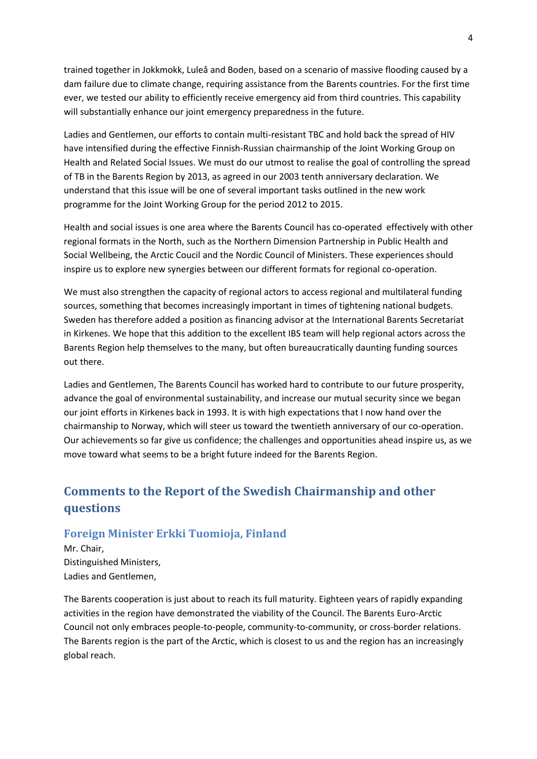trained together in Jokkmokk, Luleå and Boden, based on a scenario of massive flooding caused by a dam failure due to climate change, requiring assistance from the Barents countries. For the first time ever, we tested our ability to efficiently receive emergency aid from third countries. This capability will substantially enhance our joint emergency preparedness in the future.

Ladies and Gentlemen, our efforts to contain multi-resistant TBC and hold back the spread of HIV have intensified during the effective Finnish-Russian chairmanship of the Joint Working Group on Health and Related Social Issues. We must do our utmost to realise the goal of controlling the spread of TB in the Barents Region by 2013, as agreed in our 2003 tenth anniversary declaration. We understand that this issue will be one of several important tasks outlined in the new work programme for the Joint Working Group for the period 2012 to 2015.

Health and social issues is one area where the Barents Council has co-operated effectively with other regional formats in the North, such as the Northern Dimension Partnership in Public Health and Social Wellbeing, the Arctic Coucil and the Nordic Council of Ministers. These experiences should inspire us to explore new synergies between our different formats for regional co-operation.

We must also strengthen the capacity of regional actors to access regional and multilateral funding sources, something that becomes increasingly important in times of tightening national budgets. Sweden has therefore added a position as financing advisor at the International Barents Secretariat in Kirkenes. We hope that this addition to the excellent IBS team will help regional actors across the Barents Region help themselves to the many, but often bureaucratically daunting funding sources out there.

Ladies and Gentlemen, The Barents Council has worked hard to contribute to our future prosperity, advance the goal of environmental sustainability, and increase our mutual security since we began our joint efforts in Kirkenes back in 1993. It is with high expectations that I now hand over the chairmanship to Norway, which will steer us toward the twentieth anniversary of our co-operation. Our achievements so far give us confidence; the challenges and opportunities ahead inspire us, as we move toward what seems to be a bright future indeed for the Barents Region.

# <span id="page-3-0"></span>**Comments to the Report of the Swedish Chairmanship and other questions**

### <span id="page-3-1"></span>**Foreign Minister Erkki Tuomioja, Finland**

Mr. Chair, Distinguished Ministers, Ladies and Gentlemen,

The Barents cooperation is just about to reach its full maturity. Eighteen years of rapidly expanding activities in the region have demonstrated the viability of the Council. The Barents Euro-Arctic Council not only embraces people-to-people, community-to-community, or cross-border relations. The Barents region is the part of the Arctic, which is closest to us and the region has an increasingly global reach.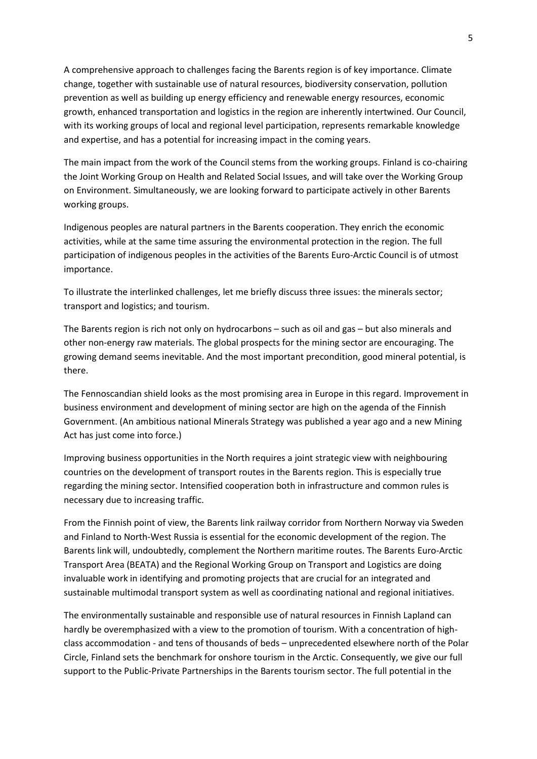A comprehensive approach to challenges facing the Barents region is of key importance. Climate change, together with sustainable use of natural resources, biodiversity conservation, pollution prevention as well as building up energy efficiency and renewable energy resources, economic growth, enhanced transportation and logistics in the region are inherently intertwined. Our Council, with its working groups of local and regional level participation, represents remarkable knowledge and expertise, and has a potential for increasing impact in the coming years.

The main impact from the work of the Council stems from the working groups. Finland is co-chairing the Joint Working Group on Health and Related Social Issues, and will take over the Working Group on Environment. Simultaneously, we are looking forward to participate actively in other Barents working groups.

Indigenous peoples are natural partners in the Barents cooperation. They enrich the economic activities, while at the same time assuring the environmental protection in the region. The full participation of indigenous peoples in the activities of the Barents Euro-Arctic Council is of utmost importance.

To illustrate the interlinked challenges, let me briefly discuss three issues: the minerals sector; transport and logistics; and tourism.

The Barents region is rich not only on hydrocarbons – such as oil and gas – but also minerals and other non-energy raw materials. The global prospects for the mining sector are encouraging. The growing demand seems inevitable. And the most important precondition, good mineral potential, is there.

The Fennoscandian shield looks as the most promising area in Europe in this regard. Improvement in business environment and development of mining sector are high on the agenda of the Finnish Government. (An ambitious national Minerals Strategy was published a year ago and a new Mining Act has just come into force.)

Improving business opportunities in the North requires a joint strategic view with neighbouring countries on the development of transport routes in the Barents region. This is especially true regarding the mining sector. Intensified cooperation both in infrastructure and common rules is necessary due to increasing traffic.

From the Finnish point of view, the Barents link railway corridor from Northern Norway via Sweden and Finland to North-West Russia is essential for the economic development of the region. The Barents link will, undoubtedly, complement the Northern maritime routes. The Barents Euro-Arctic Transport Area (BEATA) and the Regional Working Group on Transport and Logistics are doing invaluable work in identifying and promoting projects that are crucial for an integrated and sustainable multimodal transport system as well as coordinating national and regional initiatives.

The environmentally sustainable and responsible use of natural resources in Finnish Lapland can hardly be overemphasized with a view to the promotion of tourism. With a concentration of highclass accommodation - and tens of thousands of beds – unprecedented elsewhere north of the Polar Circle, Finland sets the benchmark for onshore tourism in the Arctic. Consequently, we give our full support to the Public-Private Partnerships in the Barents tourism sector. The full potential in the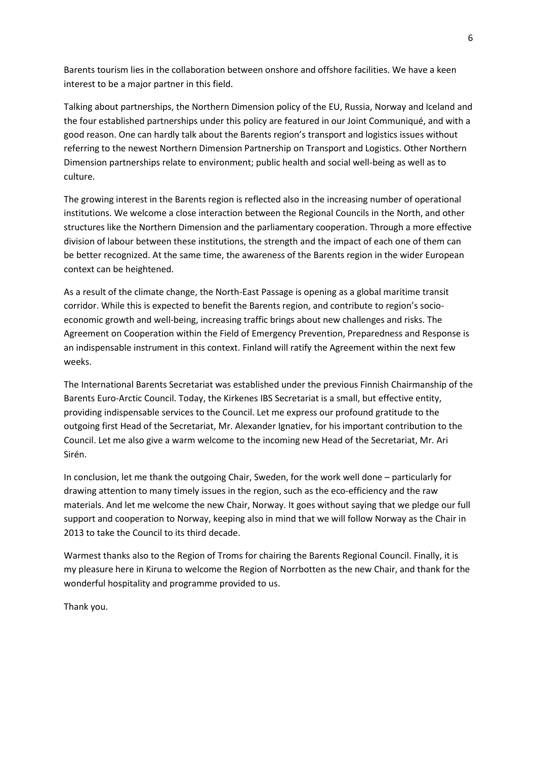Barents tourism lies in the collaboration between onshore and offshore facilities. We have a keen interest to be a major partner in this field.

Talking about partnerships, the Northern Dimension policy of the EU, Russia, Norway and Iceland and the four established partnerships under this policy are featured in our Joint Communiqué, and with a good reason. One can hardly talk about the Barents region's transport and logistics issues without referring to the newest Northern Dimension Partnership on Transport and Logistics. Other Northern Dimension partnerships relate to environment; public health and social well-being as well as to culture.

The growing interest in the Barents region is reflected also in the increasing number of operational institutions. We welcome a close interaction between the Regional Councils in the North, and other structures like the Northern Dimension and the parliamentary cooperation. Through a more effective division of labour between these institutions, the strength and the impact of each one of them can be better recognized. At the same time, the awareness of the Barents region in the wider European context can be heightened.

As a result of the climate change, the North-East Passage is opening as a global maritime transit corridor. While this is expected to benefit the Barents region, and contribute to region's socioeconomic growth and well-being, increasing traffic brings about new challenges and risks. The Agreement on Cooperation within the Field of Emergency Prevention, Preparedness and Response is an indispensable instrument in this context. Finland will ratify the Agreement within the next few weeks.

The International Barents Secretariat was established under the previous Finnish Chairmanship of the Barents Euro-Arctic Council. Today, the Kirkenes IBS Secretariat is a small, but effective entity, providing indispensable services to the Council. Let me express our profound gratitude to the outgoing first Head of the Secretariat, Mr. Alexander Ignatiev, for his important contribution to the Council. Let me also give a warm welcome to the incoming new Head of the Secretariat, Mr. Ari Sirén.

In conclusion, let me thank the outgoing Chair, Sweden, for the work well done – particularly for drawing attention to many timely issues in the region, such as the eco-efficiency and the raw materials. And let me welcome the new Chair, Norway. It goes without saying that we pledge our full support and cooperation to Norway, keeping also in mind that we will follow Norway as the Chair in 2013 to take the Council to its third decade.

Warmest thanks also to the Region of Troms for chairing the Barents Regional Council. Finally, it is my pleasure here in Kiruna to welcome the Region of Norrbotten as the new Chair, and thank for the wonderful hospitality and programme provided to us.

Thank you.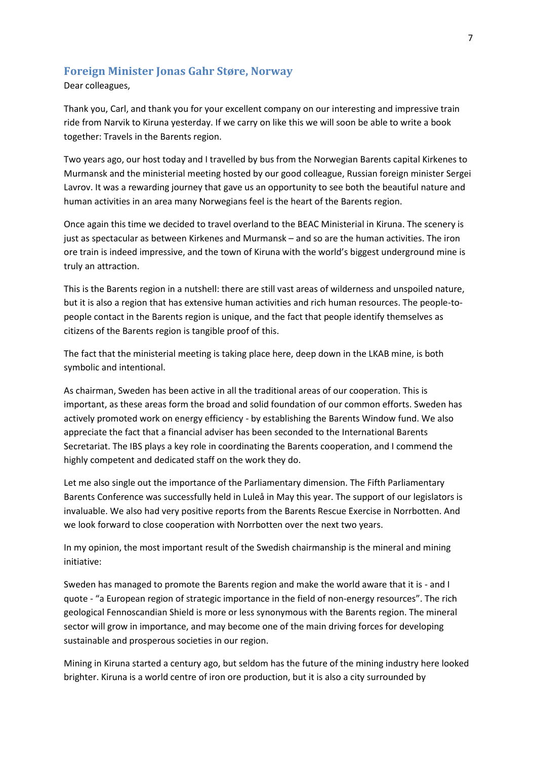### <span id="page-6-0"></span>**Foreign Minister Jonas Gahr Støre, Norway**

Dear colleagues,

Thank you, Carl, and thank you for your excellent company on our interesting and impressive train ride from Narvik to Kiruna yesterday. If we carry on like this we will soon be able to write a book together: Travels in the Barents region.

Two years ago, our host today and I travelled by bus from the Norwegian Barents capital Kirkenes to Murmansk and the ministerial meeting hosted by our good colleague, Russian foreign minister Sergei Lavrov. It was a rewarding journey that gave us an opportunity to see both the beautiful nature and human activities in an area many Norwegians feel is the heart of the Barents region.

Once again this time we decided to travel overland to the BEAC Ministerial in Kiruna. The scenery is just as spectacular as between Kirkenes and Murmansk – and so are the human activities. The iron ore train is indeed impressive, and the town of Kiruna with the world's biggest underground mine is truly an attraction.

This is the Barents region in a nutshell: there are still vast areas of wilderness and unspoiled nature, but it is also a region that has extensive human activities and rich human resources. The people-topeople contact in the Barents region is unique, and the fact that people identify themselves as citizens of the Barents region is tangible proof of this.

The fact that the ministerial meeting is taking place here, deep down in the LKAB mine, is both symbolic and intentional.

As chairman, Sweden has been active in all the traditional areas of our cooperation. This is important, as these areas form the broad and solid foundation of our common efforts. Sweden has actively promoted work on energy efficiency - by establishing the Barents Window fund. We also appreciate the fact that a financial adviser has been seconded to the International Barents Secretariat. The IBS plays a key role in coordinating the Barents cooperation, and I commend the highly competent and dedicated staff on the work they do.

Let me also single out the importance of the Parliamentary dimension. The Fifth Parliamentary Barents Conference was successfully held in Luleå in May this year. The support of our legislators is invaluable. We also had very positive reports from the Barents Rescue Exercise in Norrbotten. And we look forward to close cooperation with Norrbotten over the next two years.

In my opinion, the most important result of the Swedish chairmanship is the mineral and mining initiative:

Sweden has managed to promote the Barents region and make the world aware that it is - and I quote - "a European region of strategic importance in the field of non-energy resources". The rich geological Fennoscandian Shield is more or less synonymous with the Barents region. The mineral sector will grow in importance, and may become one of the main driving forces for developing sustainable and prosperous societies in our region.

Mining in Kiruna started a century ago, but seldom has the future of the mining industry here looked brighter. Kiruna is a world centre of iron ore production, but it is also a city surrounded by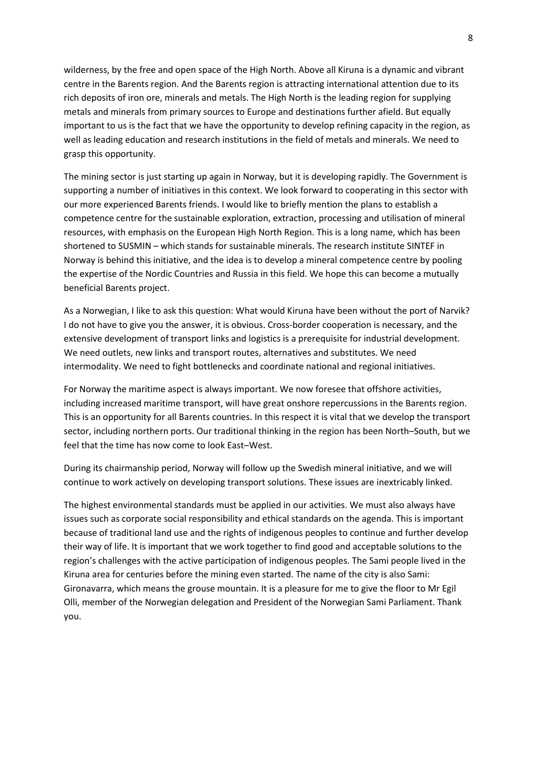wilderness, by the free and open space of the High North. Above all Kiruna is a dynamic and vibrant centre in the Barents region. And the Barents region is attracting international attention due to its rich deposits of iron ore, minerals and metals. The High North is the leading region for supplying metals and minerals from primary sources to Europe and destinations further afield. But equally important to us is the fact that we have the opportunity to develop refining capacity in the region, as well as leading education and research institutions in the field of metals and minerals. We need to grasp this opportunity.

The mining sector is just starting up again in Norway, but it is developing rapidly. The Government is supporting a number of initiatives in this context. We look forward to cooperating in this sector with our more experienced Barents friends. I would like to briefly mention the plans to establish a competence centre for the sustainable exploration, extraction, processing and utilisation of mineral resources, with emphasis on the European High North Region. This is a long name, which has been shortened to SUSMIN – which stands for sustainable minerals. The research institute SINTEF in Norway is behind this initiative, and the idea is to develop a mineral competence centre by pooling the expertise of the Nordic Countries and Russia in this field. We hope this can become a mutually beneficial Barents project.

As a Norwegian, I like to ask this question: What would Kiruna have been without the port of Narvik? I do not have to give you the answer, it is obvious. Cross-border cooperation is necessary, and the extensive development of transport links and logistics is a prerequisite for industrial development. We need outlets, new links and transport routes, alternatives and substitutes. We need intermodality. We need to fight bottlenecks and coordinate national and regional initiatives.

For Norway the maritime aspect is always important. We now foresee that offshore activities, including increased maritime transport, will have great onshore repercussions in the Barents region. This is an opportunity for all Barents countries. In this respect it is vital that we develop the transport sector, including northern ports. Our traditional thinking in the region has been North–South, but we feel that the time has now come to look East–West.

During its chairmanship period, Norway will follow up the Swedish mineral initiative, and we will continue to work actively on developing transport solutions. These issues are inextricably linked.

The highest environmental standards must be applied in our activities. We must also always have issues such as corporate social responsibility and ethical standards on the agenda. This is important because of traditional land use and the rights of indigenous peoples to continue and further develop their way of life. It is important that we work together to find good and acceptable solutions to the region's challenges with the active participation of indigenous peoples. The Sami people lived in the Kiruna area for centuries before the mining even started. The name of the city is also Sami: Gironavarra, which means the grouse mountain. It is a pleasure for me to give the floor to Mr Egil Olli, member of the Norwegian delegation and President of the Norwegian Sami Parliament. Thank you.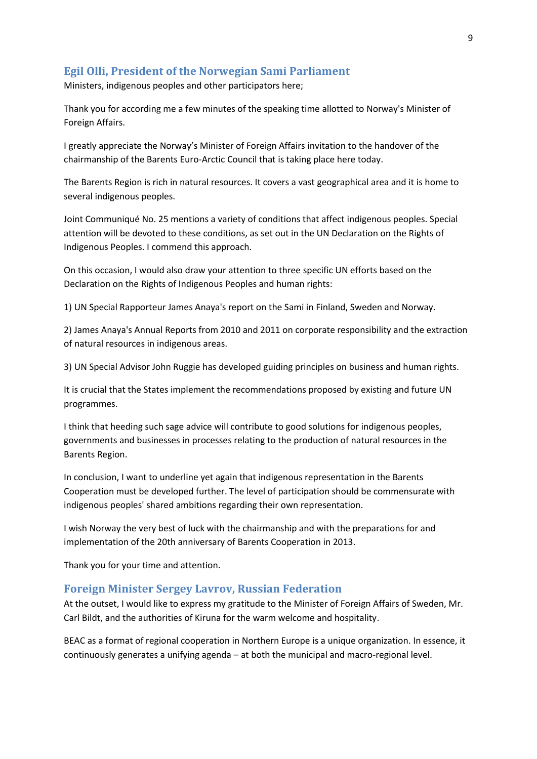### <span id="page-8-0"></span>**Egil Olli, President of the Norwegian Sami Parliament**

Ministers, indigenous peoples and other participators here;

Thank you for according me a few minutes of the speaking time allotted to Norway's Minister of Foreign Affairs.

I greatly appreciate the Norway's Minister of Foreign Affairs invitation to the handover of the chairmanship of the Barents Euro-Arctic Council that is taking place here today.

The Barents Region is rich in natural resources. It covers a vast geographical area and it is home to several indigenous peoples.

Joint Communiqué No. 25 mentions a variety of conditions that affect indigenous peoples. Special attention will be devoted to these conditions, as set out in the UN Declaration on the Rights of Indigenous Peoples. I commend this approach.

On this occasion, I would also draw your attention to three specific UN efforts based on the Declaration on the Rights of Indigenous Peoples and human rights:

1) UN Special Rapporteur James Anaya's report on the Sami in Finland, Sweden and Norway.

2) James Anaya's Annual Reports from 2010 and 2011 on corporate responsibility and the extraction of natural resources in indigenous areas.

3) UN Special Advisor John Ruggie has developed guiding principles on business and human rights.

It is crucial that the States implement the recommendations proposed by existing and future UN programmes.

I think that heeding such sage advice will contribute to good solutions for indigenous peoples, governments and businesses in processes relating to the production of natural resources in the Barents Region.

In conclusion, I want to underline yet again that indigenous representation in the Barents Cooperation must be developed further. The level of participation should be commensurate with indigenous peoples' shared ambitions regarding their own representation.

I wish Norway the very best of luck with the chairmanship and with the preparations for and implementation of the 20th anniversary of Barents Cooperation in 2013.

Thank you for your time and attention.

#### <span id="page-8-1"></span>**Foreign Minister Sergey Lavrov, Russian Federation**

At the outset, I would like to express my gratitude to the Minister of Foreign Affairs of Sweden, Mr. Carl Bildt, and the authorities of Kiruna for the warm welcome and hospitality.

BEAC as a format of regional cooperation in Northern Europe is a unique organization. In essence, it continuously generates a unifying agenda – at both the municipal and macro-regional level.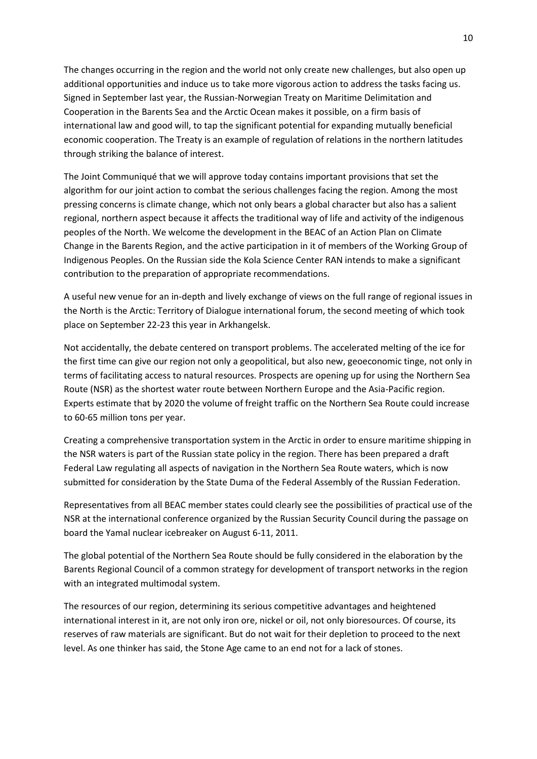The changes occurring in the region and the world not only create new challenges, but also open up additional opportunities and induce us to take more vigorous action to address the tasks facing us. Signed in September last year, the Russian-Norwegian Treaty on Maritime Delimitation and Cooperation in the Barents Sea and the Arctic Ocean makes it possible, on a firm basis of international law and good will, to tap the significant potential for expanding mutually beneficial economic cooperation. The Treaty is an example of regulation of relations in the northern latitudes through striking the balance of interest.

The Joint Communiqué that we will approve today contains important provisions that set the algorithm for our joint action to combat the serious challenges facing the region. Among the most pressing concerns is climate change, which not only bears a global character but also has a salient regional, northern aspect because it affects the traditional way of life and activity of the indigenous peoples of the North. We welcome the development in the BEAC of an Action Plan on Climate Change in the Barents Region, and the active participation in it of members of the Working Group of Indigenous Peoples. On the Russian side the Kola Science Center RAN intends to make a significant contribution to the preparation of appropriate recommendations.

A useful new venue for an in-depth and lively exchange of views on the full range of regional issues in the North is the Arctic: Territory of Dialogue international forum, the second meeting of which took place on September 22-23 this year in Arkhangelsk.

Not accidentally, the debate centered on transport problems. The accelerated melting of the ice for the first time can give our region not only a geopolitical, but also new, geoeconomic tinge, not only in terms of facilitating access to natural resources. Prospects are opening up for using the Northern Sea Route (NSR) as the shortest water route between Northern Europe and the Asia-Pacific region. Experts estimate that by 2020 the volume of freight traffic on the Northern Sea Route could increase to 60-65 million tons per year.

Creating a comprehensive transportation system in the Arctic in order to ensure maritime shipping in the NSR waters is part of the Russian state policy in the region. There has been prepared a draft Federal Law regulating all aspects of navigation in the Northern Sea Route waters, which is now submitted for consideration by the State Duma of the Federal Assembly of the Russian Federation.

Representatives from all BEAC member states could clearly see the possibilities of practical use of the NSR at the international conference organized by the Russian Security Council during the passage on board the Yamal nuclear icebreaker on August 6-11, 2011.

The global potential of the Northern Sea Route should be fully considered in the elaboration by the Barents Regional Council of a common strategy for development of transport networks in the region with an integrated multimodal system.

The resources of our region, determining its serious competitive advantages and heightened international interest in it, are not only iron ore, nickel or oil, not only bioresources. Of course, its reserves of raw materials are significant. But do not wait for their depletion to proceed to the next level. As one thinker has said, the Stone Age came to an end not for a lack of stones.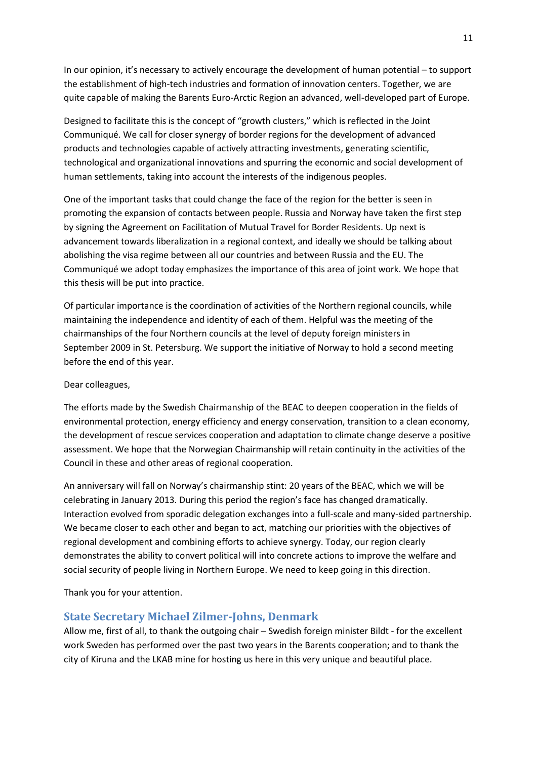In our opinion, it's necessary to actively encourage the development of human potential – to support the establishment of high-tech industries and formation of innovation centers. Together, we are quite capable of making the Barents Euro-Arctic Region an advanced, well-developed part of Europe.

Designed to facilitate this is the concept of "growth clusters," which is reflected in the Joint Communiqué. We call for closer synergy of border regions for the development of advanced products and technologies capable of actively attracting investments, generating scientific, technological and organizational innovations and spurring the economic and social development of human settlements, taking into account the interests of the indigenous peoples.

One of the important tasks that could change the face of the region for the better is seen in promoting the expansion of contacts between people. Russia and Norway have taken the first step by signing the Agreement on Facilitation of Mutual Travel for Border Residents. Up next is advancement towards liberalization in a regional context, and ideally we should be talking about abolishing the visa regime between all our countries and between Russia and the EU. The Communiqué we adopt today emphasizes the importance of this area of joint work. We hope that this thesis will be put into practice.

Of particular importance is the coordination of activities of the Northern regional councils, while maintaining the independence and identity of each of them. Helpful was the meeting of the chairmanships of the four Northern councils at the level of deputy foreign ministers in September 2009 in St. Petersburg. We support the initiative of Norway to hold a second meeting before the end of this year.

#### Dear colleagues,

The efforts made by the Swedish Chairmanship of the BEAC to deepen cooperation in the fields of environmental protection, energy efficiency and energy conservation, transition to a clean economy, the development of rescue services cooperation and adaptation to climate change deserve a positive assessment. We hope that the Norwegian Chairmanship will retain continuity in the activities of the Council in these and other areas of regional cooperation.

An anniversary will fall on Norway's chairmanship stint: 20 years of the BEAC, which we will be celebrating in January 2013. During this period the region's face has changed dramatically. Interaction evolved from sporadic delegation exchanges into a full-scale and many-sided partnership. We became closer to each other and began to act, matching our priorities with the objectives of regional development and combining efforts to achieve synergy. Today, our region clearly demonstrates the ability to convert political will into concrete actions to improve the welfare and social security of people living in Northern Europe. We need to keep going in this direction.

Thank you for your attention.

### <span id="page-10-0"></span>**State Secretary Michael Zilmer-Johns, Denmark**

Allow me, first of all, to thank the outgoing chair – Swedish foreign minister Bildt - for the excellent work Sweden has performed over the past two years in the Barents cooperation; and to thank the city of Kiruna and the LKAB mine for hosting us here in this very unique and beautiful place.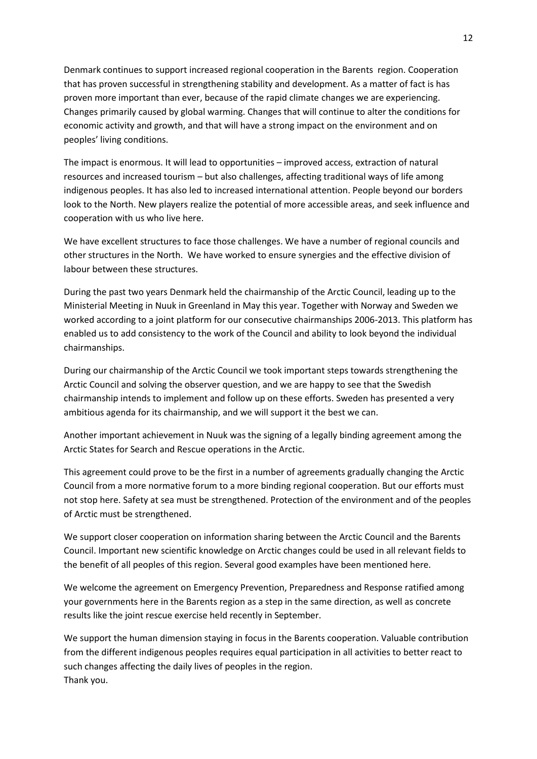Denmark continues to support increased regional cooperation in the Barents region. Cooperation that has proven successful in strengthening stability and development. As a matter of fact is has proven more important than ever, because of the rapid climate changes we are experiencing. Changes primarily caused by global warming. Changes that will continue to alter the conditions for economic activity and growth, and that will have a strong impact on the environment and on peoples' living conditions.

The impact is enormous. It will lead to opportunities – improved access, extraction of natural resources and increased tourism – but also challenges, affecting traditional ways of life among indigenous peoples. It has also led to increased international attention. People beyond our borders look to the North. New players realize the potential of more accessible areas, and seek influence and cooperation with us who live here.

We have excellent structures to face those challenges. We have a number of regional councils and other structures in the North. We have worked to ensure synergies and the effective division of labour between these structures.

During the past two years Denmark held the chairmanship of the Arctic Council, leading up to the Ministerial Meeting in Nuuk in Greenland in May this year. Together with Norway and Sweden we worked according to a joint platform for our consecutive chairmanships 2006-2013. This platform has enabled us to add consistency to the work of the Council and ability to look beyond the individual chairmanships.

During our chairmanship of the Arctic Council we took important steps towards strengthening the Arctic Council and solving the observer question, and we are happy to see that the Swedish chairmanship intends to implement and follow up on these efforts. Sweden has presented a very ambitious agenda for its chairmanship, and we will support it the best we can.

Another important achievement in Nuuk was the signing of a legally binding agreement among the Arctic States for Search and Rescue operations in the Arctic.

This agreement could prove to be the first in a number of agreements gradually changing the Arctic Council from a more normative forum to a more binding regional cooperation. But our efforts must not stop here. Safety at sea must be strengthened. Protection of the environment and of the peoples of Arctic must be strengthened.

We support closer cooperation on information sharing between the Arctic Council and the Barents Council. Important new scientific knowledge on Arctic changes could be used in all relevant fields to the benefit of all peoples of this region. Several good examples have been mentioned here.

We welcome the agreement on Emergency Prevention, Preparedness and Response ratified among your governments here in the Barents region as a step in the same direction, as well as concrete results like the joint rescue exercise held recently in September.

We support the human dimension staying in focus in the Barents cooperation. Valuable contribution from the different indigenous peoples requires equal participation in all activities to better react to such changes affecting the daily lives of peoples in the region. Thank you.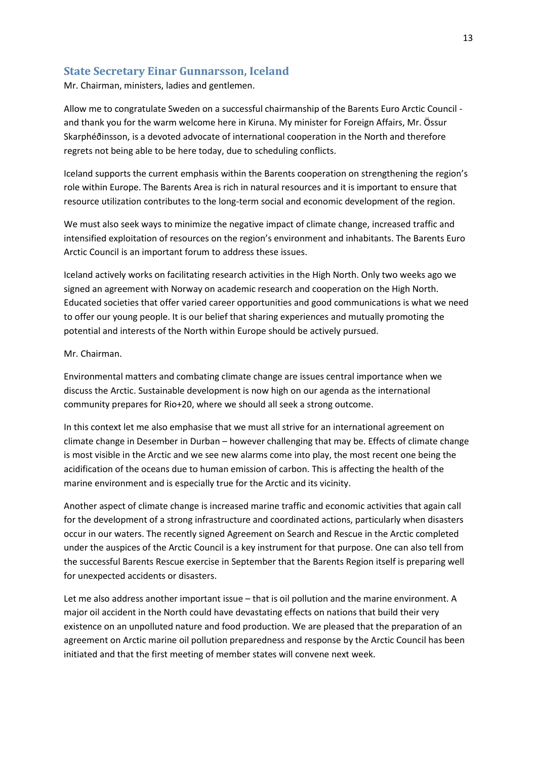### <span id="page-12-0"></span>**State Secretary Einar Gunnarsson, Iceland**

Mr. Chairman, ministers, ladies and gentlemen.

Allow me to congratulate Sweden on a successful chairmanship of the Barents Euro Arctic Council and thank you for the warm welcome here in Kiruna. My minister for Foreign Affairs, Mr. Össur Skarphéðinsson, is a devoted advocate of international cooperation in the North and therefore regrets not being able to be here today, due to scheduling conflicts.

Iceland supports the current emphasis within the Barents cooperation on strengthening the region's role within Europe. The Barents Area is rich in natural resources and it is important to ensure that resource utilization contributes to the long-term social and economic development of the region.

We must also seek ways to minimize the negative impact of climate change, increased traffic and intensified exploitation of resources on the region's environment and inhabitants. The Barents Euro Arctic Council is an important forum to address these issues.

Iceland actively works on facilitating research activities in the High North. Only two weeks ago we signed an agreement with Norway on academic research and cooperation on the High North. Educated societies that offer varied career opportunities and good communications is what we need to offer our young people. It is our belief that sharing experiences and mutually promoting the potential and interests of the North within Europe should be actively pursued.

#### Mr. Chairman.

Environmental matters and combating climate change are issues central importance when we discuss the Arctic. Sustainable development is now high on our agenda as the international community prepares for Rio+20, where we should all seek a strong outcome.

In this context let me also emphasise that we must all strive for an international agreement on climate change in Desember in Durban – however challenging that may be. Effects of climate change is most visible in the Arctic and we see new alarms come into play, the most recent one being the acidification of the oceans due to human emission of carbon. This is affecting the health of the marine environment and is especially true for the Arctic and its vicinity.

Another aspect of climate change is increased marine traffic and economic activities that again call for the development of a strong infrastructure and coordinated actions, particularly when disasters occur in our waters. The recently signed Agreement on Search and Rescue in the Arctic completed under the auspices of the Arctic Council is a key instrument for that purpose. One can also tell from the successful Barents Rescue exercise in September that the Barents Region itself is preparing well for unexpected accidents or disasters.

Let me also address another important issue – that is oil pollution and the marine environment. A major oil accident in the North could have devastating effects on nations that build their very existence on an unpolluted nature and food production. We are pleased that the preparation of an agreement on Arctic marine oil pollution preparedness and response by the Arctic Council has been initiated and that the first meeting of member states will convene next week.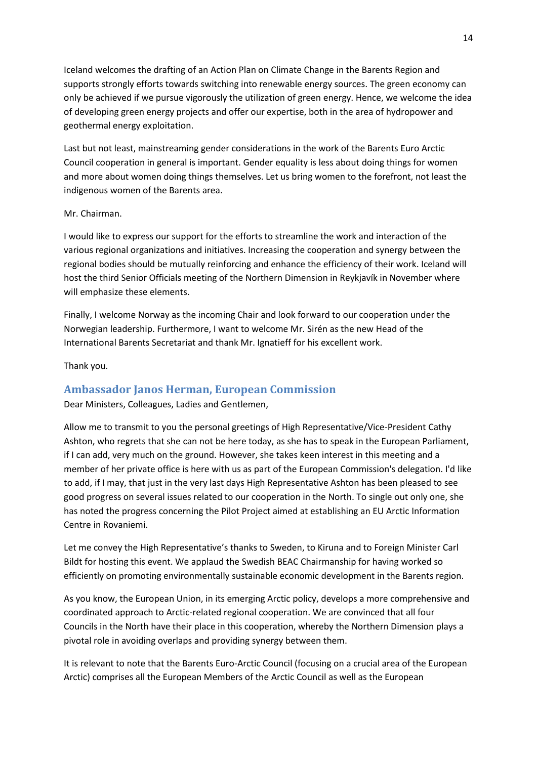Iceland welcomes the drafting of an Action Plan on Climate Change in the Barents Region and supports strongly efforts towards switching into renewable energy sources. The green economy can only be achieved if we pursue vigorously the utilization of green energy. Hence, we welcome the idea of developing green energy projects and offer our expertise, both in the area of hydropower and geothermal energy exploitation.

Last but not least, mainstreaming gender considerations in the work of the Barents Euro Arctic Council cooperation in general is important. Gender equality is less about doing things for women and more about women doing things themselves. Let us bring women to the forefront, not least the indigenous women of the Barents area.

#### Mr. Chairman.

I would like to express our support for the efforts to streamline the work and interaction of the various regional organizations and initiatives. Increasing the cooperation and synergy between the regional bodies should be mutually reinforcing and enhance the efficiency of their work. Iceland will host the third Senior Officials meeting of the Northern Dimension in Reykjavík in November where will emphasize these elements.

Finally, I welcome Norway as the incoming Chair and look forward to our cooperation under the Norwegian leadership. Furthermore, I want to welcome Mr. Sirén as the new Head of the International Barents Secretariat and thank Mr. Ignatieff for his excellent work.

Thank you.

### <span id="page-13-0"></span>**Ambassador Janos Herman, European Commission**

Dear Ministers, Colleagues, Ladies and Gentlemen,

Allow me to transmit to you the personal greetings of High Representative/Vice-President Cathy Ashton, who regrets that she can not be here today, as she has to speak in the European Parliament, if I can add, very much on the ground. However, she takes keen interest in this meeting and a member of her private office is here with us as part of the European Commission's delegation. I'd like to add, if I may, that just in the very last days High Representative Ashton has been pleased to see good progress on several issues related to our cooperation in the North. To single out only one, she has noted the progress concerning the Pilot Project aimed at establishing an EU Arctic Information Centre in Rovaniemi.

Let me convey the High Representative's thanks to Sweden, to Kiruna and to Foreign Minister Carl Bildt for hosting this event. We applaud the Swedish BEAC Chairmanship for having worked so efficiently on promoting environmentally sustainable economic development in the Barents region.

As you know, the European Union, in its emerging Arctic policy, develops a more comprehensive and coordinated approach to Arctic-related regional cooperation. We are convinced that all four Councils in the North have their place in this cooperation, whereby the Northern Dimension plays a pivotal role in avoiding overlaps and providing synergy between them.

It is relevant to note that the Barents Euro-Arctic Council (focusing on a crucial area of the European Arctic) comprises all the European Members of the Arctic Council as well as the European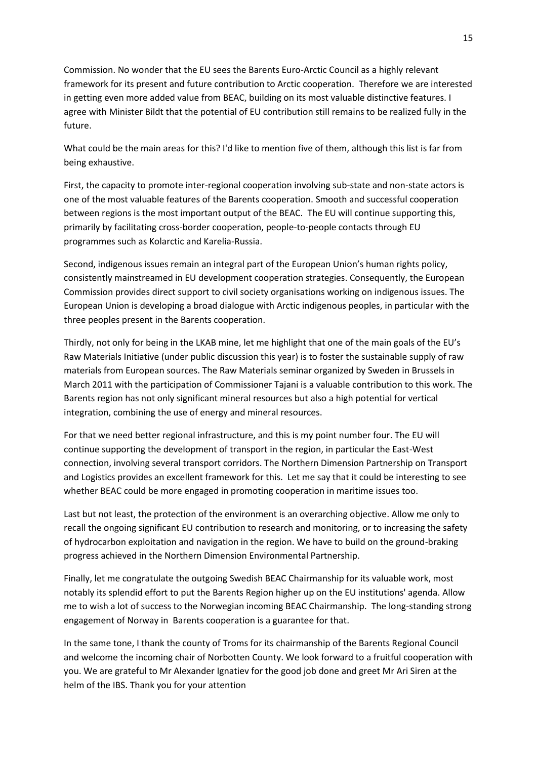Commission. No wonder that the EU sees the Barents Euro-Arctic Council as a highly relevant framework for its present and future contribution to Arctic cooperation. Therefore we are interested in getting even more added value from BEAC, building on its most valuable distinctive features. I agree with Minister Bildt that the potential of EU contribution still remains to be realized fully in the future.

What could be the main areas for this? I'd like to mention five of them, although this list is far from being exhaustive.

First, the capacity to promote inter-regional cooperation involving sub-state and non-state actors is one of the most valuable features of the Barents cooperation. Smooth and successful cooperation between regions is the most important output of the BEAC. The EU will continue supporting this, primarily by facilitating cross-border cooperation, people-to-people contacts through EU programmes such as Kolarctic and Karelia-Russia.

Second, indigenous issues remain an integral part of the European Union's human rights policy, consistently mainstreamed in EU development cooperation strategies. Consequently, the European Commission provides direct support to civil society organisations working on indigenous issues. The European Union is developing a broad dialogue with Arctic indigenous peoples, in particular with the three peoples present in the Barents cooperation.

Thirdly, not only for being in the LKAB mine, let me highlight that one of the main goals of the EU's Raw Materials Initiative (under public discussion this year) is to foster the sustainable supply of raw materials from European sources. The Raw Materials seminar organized by Sweden in Brussels in March 2011 with the participation of Commissioner Tajani is a valuable contribution to this work. The Barents region has not only significant mineral resources but also a high potential for vertical integration, combining the use of energy and mineral resources.

For that we need better regional infrastructure, and this is my point number four. The EU will continue supporting the development of transport in the region, in particular the East-West connection, involving several transport corridors. The Northern Dimension Partnership on Transport and Logistics provides an excellent framework for this. Let me say that it could be interesting to see whether BEAC could be more engaged in promoting cooperation in maritime issues too.

Last but not least, the protection of the environment is an overarching objective. Allow me only to recall the ongoing significant EU contribution to research and monitoring, or to increasing the safety of hydrocarbon exploitation and navigation in the region. We have to build on the ground-braking progress achieved in the Northern Dimension Environmental Partnership.

Finally, let me congratulate the outgoing Swedish BEAC Chairmanship for its valuable work, most notably its splendid effort to put the Barents Region higher up on the EU institutions' agenda. Allow me to wish a lot of success to the Norwegian incoming BEAC Chairmanship. The long-standing strong engagement of Norway in Barents cooperation is a guarantee for that.

In the same tone, I thank the county of Troms for its chairmanship of the Barents Regional Council and welcome the incoming chair of Norbotten County. We look forward to a fruitful cooperation with you. We are grateful to Mr Alexander Ignatiev for the good job done and greet Mr Ari Siren at the helm of the IBS. Thank you for your attention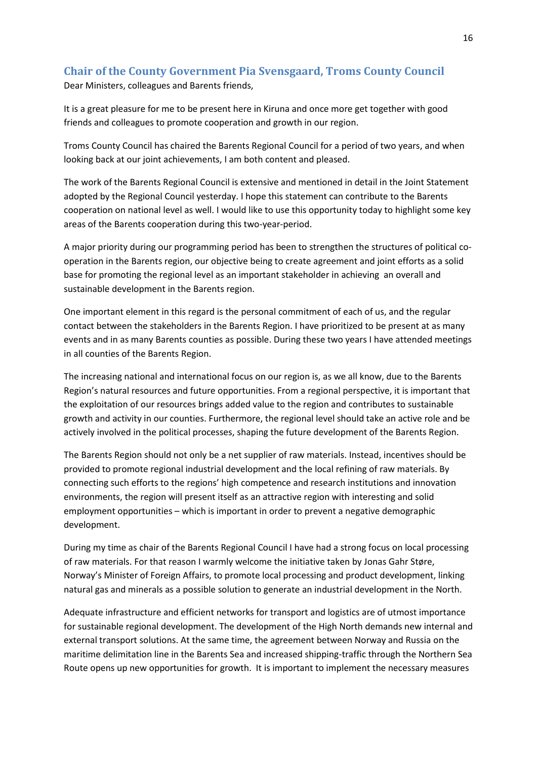# <span id="page-15-0"></span>**Chair of the County Government Pia Svensgaard, Troms County Council**

Dear Ministers, colleagues and Barents friends,

It is a great pleasure for me to be present here in Kiruna and once more get together with good friends and colleagues to promote cooperation and growth in our region.

Troms County Council has chaired the Barents Regional Council for a period of two years, and when looking back at our joint achievements, I am both content and pleased.

The work of the Barents Regional Council is extensive and mentioned in detail in the Joint Statement adopted by the Regional Council yesterday. I hope this statement can contribute to the Barents cooperation on national level as well. I would like to use this opportunity today to highlight some key areas of the Barents cooperation during this two-year-period.

A major priority during our programming period has been to strengthen the structures of political cooperation in the Barents region, our objective being to create agreement and joint efforts as a solid base for promoting the regional level as an important stakeholder in achieving an overall and sustainable development in the Barents region.

One important element in this regard is the personal commitment of each of us, and the regular contact between the stakeholders in the Barents Region. I have prioritized to be present at as many events and in as many Barents counties as possible. During these two years I have attended meetings in all counties of the Barents Region.

The increasing national and international focus on our region is, as we all know, due to the Barents Region's natural resources and future opportunities. From a regional perspective, it is important that the exploitation of our resources brings added value to the region and contributes to sustainable growth and activity in our counties. Furthermore, the regional level should take an active role and be actively involved in the political processes, shaping the future development of the Barents Region.

The Barents Region should not only be a net supplier of raw materials. Instead, incentives should be provided to promote regional industrial development and the local refining of raw materials. By connecting such efforts to the regions' high competence and research institutions and innovation environments, the region will present itself as an attractive region with interesting and solid employment opportunities – which is important in order to prevent a negative demographic development.

During my time as chair of the Barents Regional Council I have had a strong focus on local processing of raw materials. For that reason I warmly welcome the initiative taken by Jonas Gahr Støre, Norway's Minister of Foreign Affairs, to promote local processing and product development, linking natural gas and minerals as a possible solution to generate an industrial development in the North.

Adequate infrastructure and efficient networks for transport and logistics are of utmost importance for sustainable regional development. The development of the High North demands new internal and external transport solutions. At the same time, the agreement between Norway and Russia on the maritime delimitation line in the Barents Sea and increased shipping-traffic through the Northern Sea Route opens up new opportunities for growth. It is important to implement the necessary measures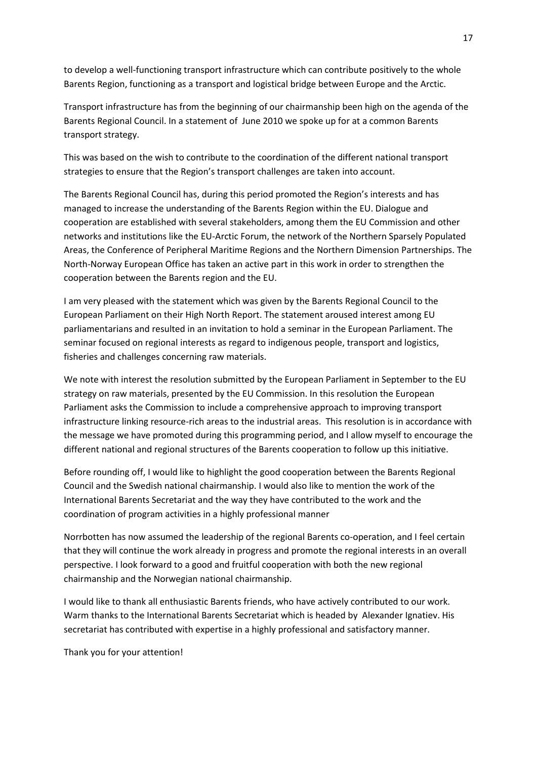to develop a well-functioning transport infrastructure which can contribute positively to the whole Barents Region, functioning as a transport and logistical bridge between Europe and the Arctic.

Transport infrastructure has from the beginning of our chairmanship been high on the agenda of the Barents Regional Council. In a statement of June 2010 we spoke up for at a common Barents transport strategy.

This was based on the wish to contribute to the coordination of the different national transport strategies to ensure that the Region's transport challenges are taken into account.

The Barents Regional Council has, during this period promoted the Region's interests and has managed to increase the understanding of the Barents Region within the EU. Dialogue and cooperation are established with several stakeholders, among them the EU Commission and other networks and institutions like the EU-Arctic Forum, the network of the Northern Sparsely Populated Areas, the Conference of Peripheral Maritime Regions and the Northern Dimension Partnerships. The North-Norway European Office has taken an active part in this work in order to strengthen the cooperation between the Barents region and the EU.

I am very pleased with the statement which was given by the Barents Regional Council to the European Parliament on their High North Report. The statement aroused interest among EU parliamentarians and resulted in an invitation to hold a seminar in the European Parliament. The seminar focused on regional interests as regard to indigenous people, transport and logistics, fisheries and challenges concerning raw materials.

We note with interest the resolution submitted by the European Parliament in September to the EU strategy on raw materials, presented by the EU Commission. In this resolution the European Parliament asks the Commission to include a comprehensive approach to improving transport infrastructure linking resource-rich areas to the industrial areas. This resolution is in accordance with the message we have promoted during this programming period, and I allow myself to encourage the different national and regional structures of the Barents cooperation to follow up this initiative.

Before rounding off, I would like to highlight the good cooperation between the Barents Regional Council and the Swedish national chairmanship. I would also like to mention the work of the International Barents Secretariat and the way they have contributed to the work and the coordination of program activities in a highly professional manner

Norrbotten has now assumed the leadership of the regional Barents co-operation, and I feel certain that they will continue the work already in progress and promote the regional interests in an overall perspective. I look forward to a good and fruitful cooperation with both the new regional chairmanship and the Norwegian national chairmanship.

I would like to thank all enthusiastic Barents friends, who have actively contributed to our work. Warm thanks to the International Barents Secretariat which is headed by Alexander Ignatiev. His secretariat has contributed with expertise in a highly professional and satisfactory manner.

Thank you for your attention!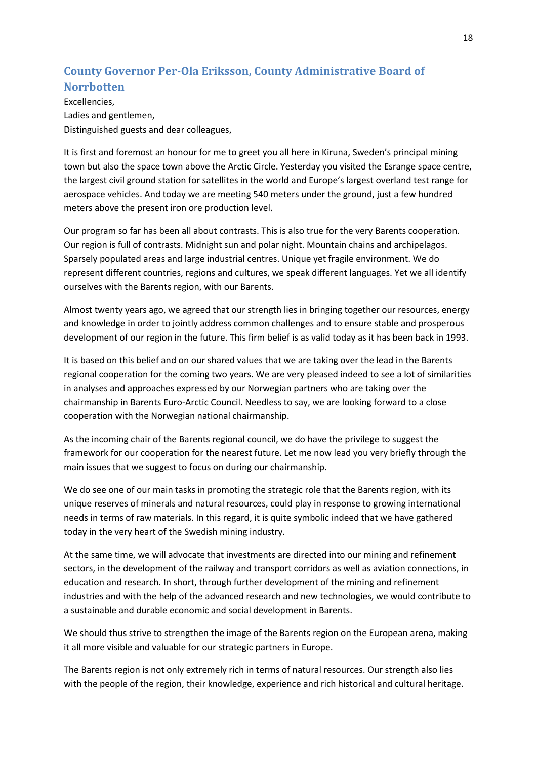# <span id="page-17-0"></span>**County Governor Per-Ola Eriksson, County Administrative Board of Norrbotten**

Excellencies, Ladies and gentlemen, Distinguished guests and dear colleagues,

It is first and foremost an honour for me to greet you all here in Kiruna, Sweden's principal mining town but also the space town above the Arctic Circle. Yesterday you visited the Esrange space centre, the largest civil ground station for satellites in the world and Europe's largest overland test range for aerospace vehicles. And today we are meeting 540 meters under the ground, just a few hundred meters above the present iron ore production level.

Our program so far has been all about contrasts. This is also true for the very Barents cooperation. Our region is full of contrasts. Midnight sun and polar night. Mountain chains and archipelagos. Sparsely populated areas and large industrial centres. Unique yet fragile environment. We do represent different countries, regions and cultures, we speak different languages. Yet we all identify ourselves with the Barents region, with our Barents.

Almost twenty years ago, we agreed that our strength lies in bringing together our resources, energy and knowledge in order to jointly address common challenges and to ensure stable and prosperous development of our region in the future. This firm belief is as valid today as it has been back in 1993.

It is based on this belief and on our shared values that we are taking over the lead in the Barents regional cooperation for the coming two years. We are very pleased indeed to see a lot of similarities in analyses and approaches expressed by our Norwegian partners who are taking over the chairmanship in Barents Euro-Arctic Council. Needless to say, we are looking forward to a close cooperation with the Norwegian national chairmanship.

As the incoming chair of the Barents regional council, we do have the privilege to suggest the framework for our cooperation for the nearest future. Let me now lead you very briefly through the main issues that we suggest to focus on during our chairmanship.

We do see one of our main tasks in promoting the strategic role that the Barents region, with its unique reserves of minerals and natural resources, could play in response to growing international needs in terms of raw materials. In this regard, it is quite symbolic indeed that we have gathered today in the very heart of the Swedish mining industry.

At the same time, we will advocate that investments are directed into our mining and refinement sectors, in the development of the railway and transport corridors as well as aviation connections, in education and research. In short, through further development of the mining and refinement industries and with the help of the advanced research and new technologies, we would contribute to a sustainable and durable economic and social development in Barents.

We should thus strive to strengthen the image of the Barents region on the European arena, making it all more visible and valuable for our strategic partners in Europe.

The Barents region is not only extremely rich in terms of natural resources. Our strength also lies with the people of the region, their knowledge, experience and rich historical and cultural heritage.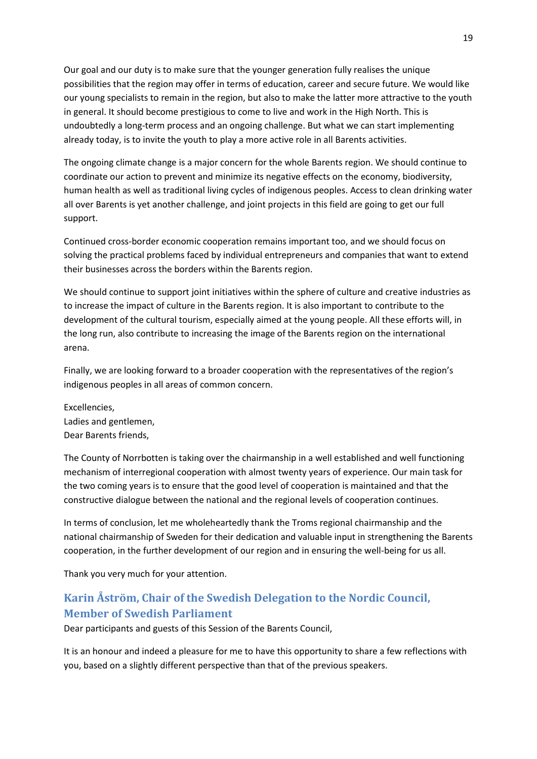Our goal and our duty is to make sure that the younger generation fully realises the unique possibilities that the region may offer in terms of education, career and secure future. We would like our young specialists to remain in the region, but also to make the latter more attractive to the youth in general. It should become prestigious to come to live and work in the High North. This is undoubtedly a long-term process and an ongoing challenge. But what we can start implementing already today, is to invite the youth to play a more active role in all Barents activities.

The ongoing climate change is a major concern for the whole Barents region. We should continue to coordinate our action to prevent and minimize its negative effects on the economy, biodiversity, human health as well as traditional living cycles of indigenous peoples. Access to clean drinking water all over Barents is yet another challenge, and joint projects in this field are going to get our full support.

Continued cross-border economic cooperation remains important too, and we should focus on solving the practical problems faced by individual entrepreneurs and companies that want to extend their businesses across the borders within the Barents region.

We should continue to support joint initiatives within the sphere of culture and creative industries as to increase the impact of culture in the Barents region. It is also important to contribute to the development of the cultural tourism, especially aimed at the young people. All these efforts will, in the long run, also contribute to increasing the image of the Barents region on the international arena.

Finally, we are looking forward to a broader cooperation with the representatives of the region's indigenous peoples in all areas of common concern.

Excellencies, Ladies and gentlemen, Dear Barents friends,

The County of Norrbotten is taking over the chairmanship in a well established and well functioning mechanism of interregional cooperation with almost twenty years of experience. Our main task for the two coming years is to ensure that the good level of cooperation is maintained and that the constructive dialogue between the national and the regional levels of cooperation continues.

In terms of conclusion, let me wholeheartedly thank the Troms regional chairmanship and the national chairmanship of Sweden for their dedication and valuable input in strengthening the Barents cooperation, in the further development of our region and in ensuring the well-being for us all.

Thank you very much for your attention.

# <span id="page-18-0"></span>**Karin Åström, Chair of the Swedish Delegation to the Nordic Council, Member of Swedish Parliament**

Dear participants and guests of this Session of the Barents Council,

It is an honour and indeed a pleasure for me to have this opportunity to share a few reflections with you, based on a slightly different perspective than that of the previous speakers.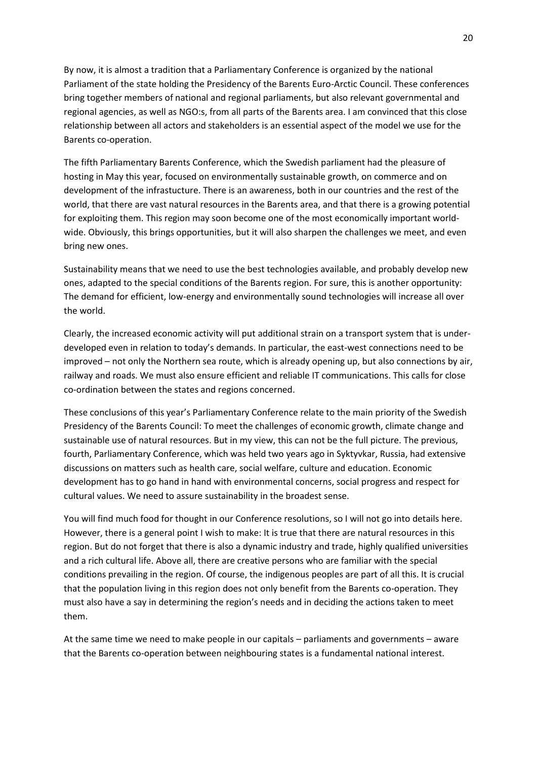By now, it is almost a tradition that a Parliamentary Conference is organized by the national Parliament of the state holding the Presidency of the Barents Euro-Arctic Council. These conferences bring together members of national and regional parliaments, but also relevant governmental and regional agencies, as well as NGO:s, from all parts of the Barents area. I am convinced that this close relationship between all actors and stakeholders is an essential aspect of the model we use for the Barents co-operation.

The fifth Parliamentary Barents Conference, which the Swedish parliament had the pleasure of hosting in May this year, focused on environmentally sustainable growth, on commerce and on development of the infrastucture. There is an awareness, both in our countries and the rest of the world, that there are vast natural resources in the Barents area, and that there is a growing potential for exploiting them. This region may soon become one of the most economically important worldwide. Obviously, this brings opportunities, but it will also sharpen the challenges we meet, and even bring new ones.

Sustainability means that we need to use the best technologies available, and probably develop new ones, adapted to the special conditions of the Barents region. For sure, this is another opportunity: The demand for efficient, low-energy and environmentally sound technologies will increase all over the world.

Clearly, the increased economic activity will put additional strain on a transport system that is underdeveloped even in relation to today's demands. In particular, the east-west connections need to be improved – not only the Northern sea route, which is already opening up, but also connections by air, railway and roads. We must also ensure efficient and reliable IT communications. This calls for close co-ordination between the states and regions concerned.

These conclusions of this year's Parliamentary Conference relate to the main priority of the Swedish Presidency of the Barents Council: To meet the challenges of economic growth, climate change and sustainable use of natural resources. But in my view, this can not be the full picture. The previous, fourth, Parliamentary Conference, which was held two years ago in Syktyvkar, Russia, had extensive discussions on matters such as health care, social welfare, culture and education. Economic development has to go hand in hand with environmental concerns, social progress and respect for cultural values. We need to assure sustainability in the broadest sense.

You will find much food for thought in our Conference resolutions, so I will not go into details here. However, there is a general point I wish to make: It is true that there are natural resources in this region. But do not forget that there is also a dynamic industry and trade, highly qualified universities and a rich cultural life. Above all, there are creative persons who are familiar with the special conditions prevailing in the region. Of course, the indigenous peoples are part of all this. It is crucial that the population living in this region does not only benefit from the Barents co-operation. They must also have a say in determining the region's needs and in deciding the actions taken to meet them.

At the same time we need to make people in our capitals – parliaments and governments – aware that the Barents co-operation between neighbouring states is a fundamental national interest.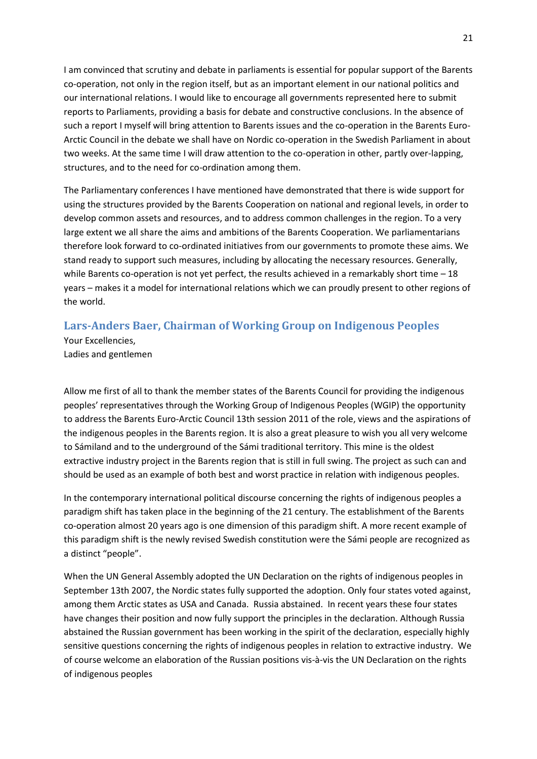I am convinced that scrutiny and debate in parliaments is essential for popular support of the Barents co-operation, not only in the region itself, but as an important element in our national politics and our international relations. I would like to encourage all governments represented here to submit reports to Parliaments, providing a basis for debate and constructive conclusions. In the absence of such a report I myself will bring attention to Barents issues and the co-operation in the Barents Euro-Arctic Council in the debate we shall have on Nordic co-operation in the Swedish Parliament in about two weeks. At the same time I will draw attention to the co-operation in other, partly over-lapping, structures, and to the need for co-ordination among them.

The Parliamentary conferences I have mentioned have demonstrated that there is wide support for using the structures provided by the Barents Cooperation on national and regional levels, in order to develop common assets and resources, and to address common challenges in the region. To a very large extent we all share the aims and ambitions of the Barents Cooperation. We parliamentarians therefore look forward to co-ordinated initiatives from our governments to promote these aims. We stand ready to support such measures, including by allocating the necessary resources. Generally, while Barents co-operation is not yet perfect, the results achieved in a remarkably short time - 18 years – makes it a model for international relations which we can proudly present to other regions of the world.

## <span id="page-20-0"></span>**Lars-Anders Baer, Chairman of Working Group on Indigenous Peoples**

Your Excellencies, Ladies and gentlemen

Allow me first of all to thank the member states of the Barents Council for providing the indigenous peoples' representatives through the Working Group of Indigenous Peoples (WGIP) the opportunity to address the Barents Euro-Arctic Council 13th session 2011 of the role, views and the aspirations of the indigenous peoples in the Barents region. It is also a great pleasure to wish you all very welcome to Sámiland and to the underground of the Sámi traditional territory. This mine is the oldest extractive industry project in the Barents region that is still in full swing. The project as such can and should be used as an example of both best and worst practice in relation with indigenous peoples.

In the contemporary international political discourse concerning the rights of indigenous peoples a paradigm shift has taken place in the beginning of the 21 century. The establishment of the Barents co-operation almost 20 years ago is one dimension of this paradigm shift. A more recent example of this paradigm shift is the newly revised Swedish constitution were the Sámi people are recognized as a distinct "people".

When the UN General Assembly adopted the UN Declaration on the rights of indigenous peoples in September 13th 2007, the Nordic states fully supported the adoption. Only four states voted against, among them Arctic states as USA and Canada. Russia abstained. In recent years these four states have changes their position and now fully support the principles in the declaration. Although Russia abstained the Russian government has been working in the spirit of the declaration, especially highly sensitive questions concerning the rights of indigenous peoples in relation to extractive industry. We of course welcome an elaboration of the Russian positions vis-à-vis the UN Declaration on the rights of indigenous peoples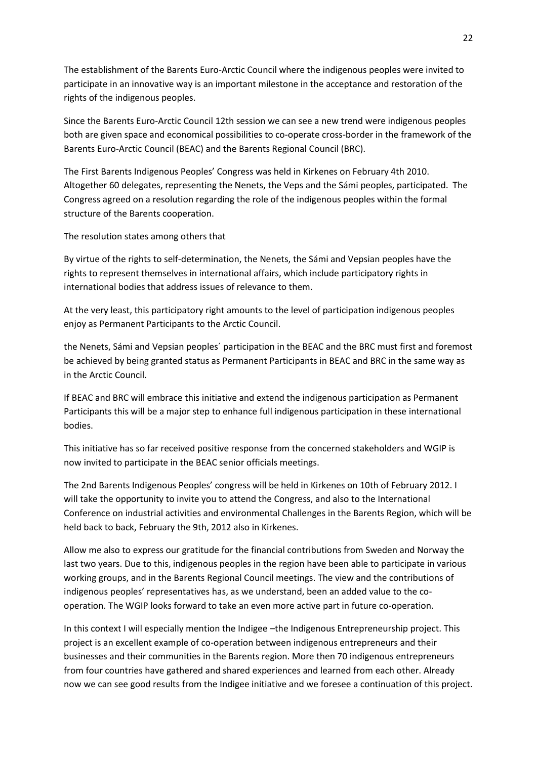The establishment of the Barents Euro-Arctic Council where the indigenous peoples were invited to participate in an innovative way is an important milestone in the acceptance and restoration of the rights of the indigenous peoples.

Since the Barents Euro-Arctic Council 12th session we can see a new trend were indigenous peoples both are given space and economical possibilities to co-operate cross-border in the framework of the Barents Euro-Arctic Council (BEAC) and the Barents Regional Council (BRC).

The First Barents Indigenous Peoples' Congress was held in Kirkenes on February 4th 2010. Altogether 60 delegates, representing the Nenets, the Veps and the Sámi peoples, participated. The Congress agreed on a resolution regarding the role of the indigenous peoples within the formal structure of the Barents cooperation.

The resolution states among others that

By virtue of the rights to self-determination, the Nenets, the Sámi and Vepsian peoples have the rights to represent themselves in international affairs, which include participatory rights in international bodies that address issues of relevance to them.

At the very least, this participatory right amounts to the level of participation indigenous peoples enjoy as Permanent Participants to the Arctic Council.

the Nenets, Sámi and Vepsian peoples´ participation in the BEAC and the BRC must first and foremost be achieved by being granted status as Permanent Participants in BEAC and BRC in the same way as in the Arctic Council.

If BEAC and BRC will embrace this initiative and extend the indigenous participation as Permanent Participants this will be a major step to enhance full indigenous participation in these international bodies.

This initiative has so far received positive response from the concerned stakeholders and WGIP is now invited to participate in the BEAC senior officials meetings.

The 2nd Barents Indigenous Peoples' congress will be held in Kirkenes on 10th of February 2012. I will take the opportunity to invite you to attend the Congress, and also to the International Conference on industrial activities and environmental Challenges in the Barents Region, which will be held back to back, February the 9th, 2012 also in Kirkenes.

Allow me also to express our gratitude for the financial contributions from Sweden and Norway the last two years. Due to this, indigenous peoples in the region have been able to participate in various working groups, and in the Barents Regional Council meetings. The view and the contributions of indigenous peoples' representatives has, as we understand, been an added value to the cooperation. The WGIP looks forward to take an even more active part in future co-operation.

In this context I will especially mention the Indigee –the Indigenous Entrepreneurship project. This project is an excellent example of co-operation between indigenous entrepreneurs and their businesses and their communities in the Barents region. More then 70 indigenous entrepreneurs from four countries have gathered and shared experiences and learned from each other. Already now we can see good results from the Indigee initiative and we foresee a continuation of this project.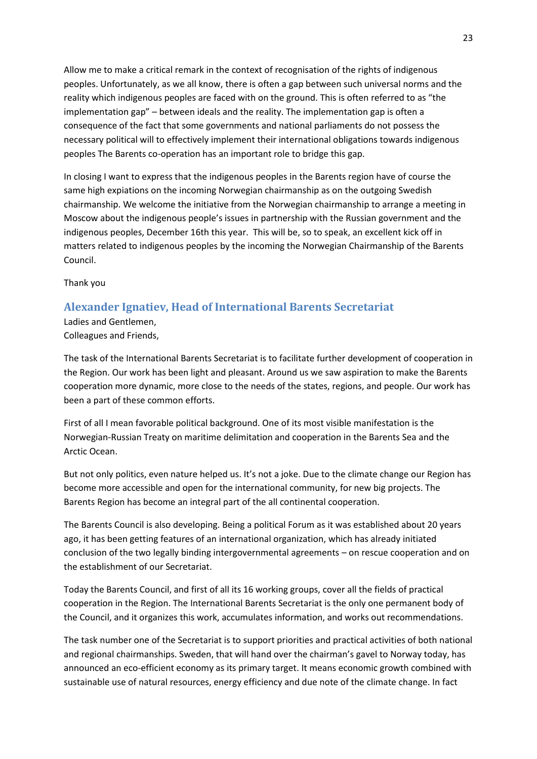Allow me to make a critical remark in the context of recognisation of the rights of indigenous peoples. Unfortunately, as we all know, there is often a gap between such universal norms and the reality which indigenous peoples are faced with on the ground. This is often referred to as "the implementation gap" – between ideals and the reality. The implementation gap is often a consequence of the fact that some governments and national parliaments do not possess the necessary political will to effectively implement their international obligations towards indigenous peoples The Barents co-operation has an important role to bridge this gap.

In closing I want to express that the indigenous peoples in the Barents region have of course the same high expiations on the incoming Norwegian chairmanship as on the outgoing Swedish chairmanship. We welcome the initiative from the Norwegian chairmanship to arrange a meeting in Moscow about the indigenous people's issues in partnership with the Russian government and the indigenous peoples, December 16th this year. This will be, so to speak, an excellent kick off in matters related to indigenous peoples by the incoming the Norwegian Chairmanship of the Barents Council.

Thank you

### <span id="page-22-0"></span>**Alexander Ignatiev, Head of International Barents Secretariat**

Ladies and Gentlemen, Colleagues and Friends,

The task of the International Barents Secretariat is to facilitate further development of cooperation in the Region. Our work has been light and pleasant. Around us we saw aspiration to make the Barents cooperation more dynamic, more close to the needs of the states, regions, and people. Our work has been a part of these common efforts.

First of all I mean favorable political background. One of its most visible manifestation is the Norwegian-Russian Treaty on maritime delimitation and cooperation in the Barents Sea and the Arctic Ocean.

But not only politics, even nature helped us. It's not a joke. Due to the climate change our Region has become more accessible and open for the international community, for new big projects. The Barents Region has become an integral part of the all continental cooperation.

The Barents Council is also developing. Being a political Forum as it was established about 20 years ago, it has been getting features of an international organization, which has already initiated conclusion of the two legally binding intergovernmental agreements – on rescue cooperation and on the establishment of our Secretariat.

Today the Barents Council, and first of all its 16 working groups, cover all the fields of practical cooperation in the Region. The International Barents Secretariat is the only one permanent body of the Council, and it organizes this work, accumulates information, and works out recommendations.

The task number one of the Secretariat is to support priorities and practical activities of both national and regional chairmanships. Sweden, that will hand over the chairman's gavel to Norway today, has announced an eco-efficient economy as its primary target. It means economic growth combined with sustainable use of natural resources, energy efficiency and due note of the climate change. In fact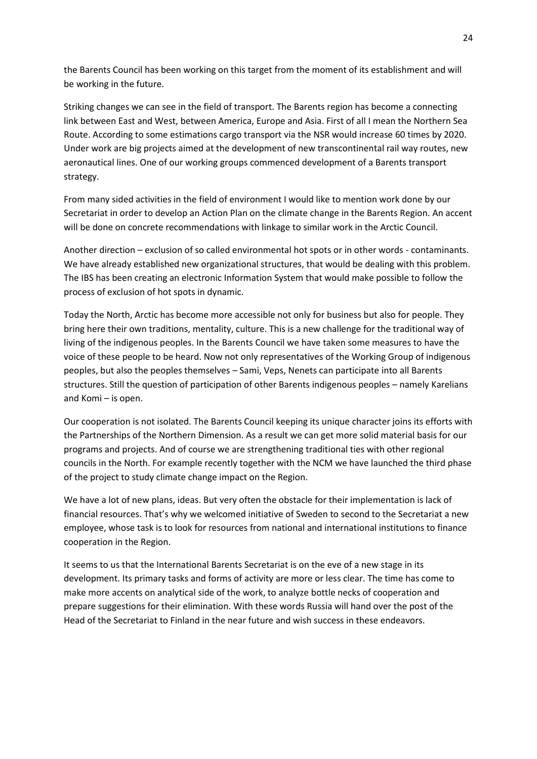the Barents Council has been working on this target from the moment of its establishment and will be working in the future.

Striking changes we can see in the field of transport. The Barents region has become a connecting link between East and West, between America, Europe and Asia. First of all I mean the Northern Sea Route. According to some estimations cargo transport via the NSR would increase 60 times by 2020. Under work are big projects aimed at the development of new transcontinental rail way routes, new aeronautical lines. One of our working groups commenced development of a Barents transport strategy.

From many sided activities in the field of environment I would like to mention work done by our Secretariat in order to develop an Action Plan on the climate change in the Barents Region. An accent will be done on concrete recommendations with linkage to similar work in the Arctic Council.

Another direction – exclusion of so called environmental hot spots or in other words - contaminants. We have already established new organizational structures, that would be dealing with this problem. The IBS has been creating an electronic Information System that would make possible to follow the process of exclusion of hot spots in dynamic.

Today the North, Arctic has become more accessible not only for business but also for people. They bring here their own traditions, mentality, culture. This is a new challenge for the traditional way of living of the indigenous peoples. In the Barents Council we have taken some measures to have the voice of these people to be heard. Now not only representatives of the Working Group of indigenous peoples, but also the peoples themselves – Sami, Veps, Nenets can participate into all Barents structures. Still the question of participation of other Barents indigenous peoples – namely Karelians and Komi – is open.

Our cooperation is not isolated. The Barents Council keeping its unique character joins its efforts with the Partnerships of the Northern Dimension. As a result we can get more solid material basis for our programs and projects. And of course we are strengthening traditional ties with other regional councils in the North. For example recently together with the NCM we have launched the third phase of the project to study climate change impact on the Region.

We have a lot of new plans, ideas. But very often the obstacle for their implementation is lack of financial resources. That's why we welcomed initiative of Sweden to second to the Secretariat a new employee, whose task is to look for resources from national and international institutions to finance cooperation in the Region.

It seems to us that the International Barents Secretariat is on the eve of a new stage in its development. Its primary tasks and forms of activity are more or less clear. The time has come to make more accents on analytical side of the work, to analyze bottle necks of cooperation and prepare suggestions for their elimination. With these words Russia will hand over the post of the Head of the Secretariat to Finland in the near future and wish success in these endeavors.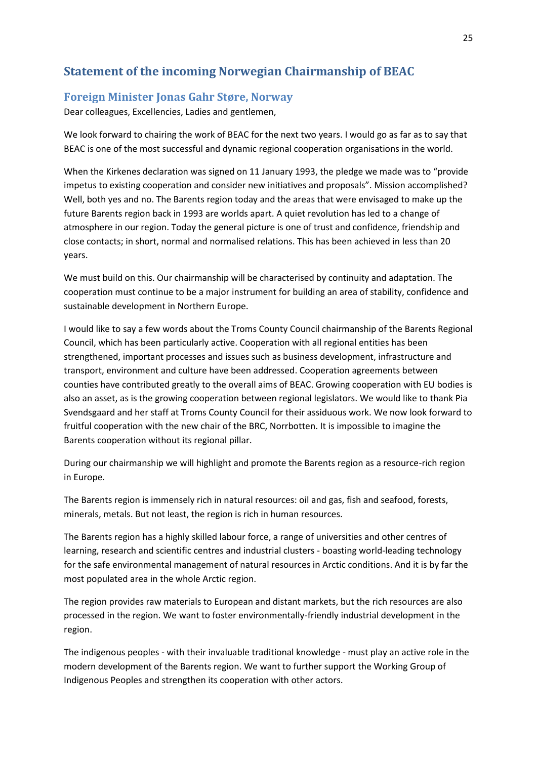# <span id="page-24-0"></span>**Statement of the incoming Norwegian Chairmanship of BEAC**

### <span id="page-24-1"></span>**Foreign Minister Jonas Gahr Støre, Norway**

Dear colleagues, Excellencies, Ladies and gentlemen,

We look forward to chairing the work of BEAC for the next two years. I would go as far as to say that BEAC is one of the most successful and dynamic regional cooperation organisations in the world.

When the Kirkenes declaration was signed on 11 January 1993, the pledge we made was to "provide impetus to existing cooperation and consider new initiatives and proposals". Mission accomplished? Well, both yes and no. The Barents region today and the areas that were envisaged to make up the future Barents region back in 1993 are worlds apart. A quiet revolution has led to a change of atmosphere in our region. Today the general picture is one of trust and confidence, friendship and close contacts; in short, normal and normalised relations. This has been achieved in less than 20 years.

We must build on this. Our chairmanship will be characterised by continuity and adaptation. The cooperation must continue to be a major instrument for building an area of stability, confidence and sustainable development in Northern Europe.

I would like to say a few words about the Troms County Council chairmanship of the Barents Regional Council, which has been particularly active. Cooperation with all regional entities has been strengthened, important processes and issues such as business development, infrastructure and transport, environment and culture have been addressed. Cooperation agreements between counties have contributed greatly to the overall aims of BEAC. Growing cooperation with EU bodies is also an asset, as is the growing cooperation between regional legislators. We would like to thank Pia Svendsgaard and her staff at Troms County Council for their assiduous work. We now look forward to fruitful cooperation with the new chair of the BRC, Norrbotten. It is impossible to imagine the Barents cooperation without its regional pillar.

During our chairmanship we will highlight and promote the Barents region as a resource-rich region in Europe.

The Barents region is immensely rich in natural resources: oil and gas, fish and seafood, forests, minerals, metals. But not least, the region is rich in human resources.

The Barents region has a highly skilled labour force, a range of universities and other centres of learning, research and scientific centres and industrial clusters - boasting world-leading technology for the safe environmental management of natural resources in Arctic conditions. And it is by far the most populated area in the whole Arctic region.

The region provides raw materials to European and distant markets, but the rich resources are also processed in the region. We want to foster environmentally-friendly industrial development in the region.

The indigenous peoples - with their invaluable traditional knowledge - must play an active role in the modern development of the Barents region. We want to further support the Working Group of Indigenous Peoples and strengthen its cooperation with other actors.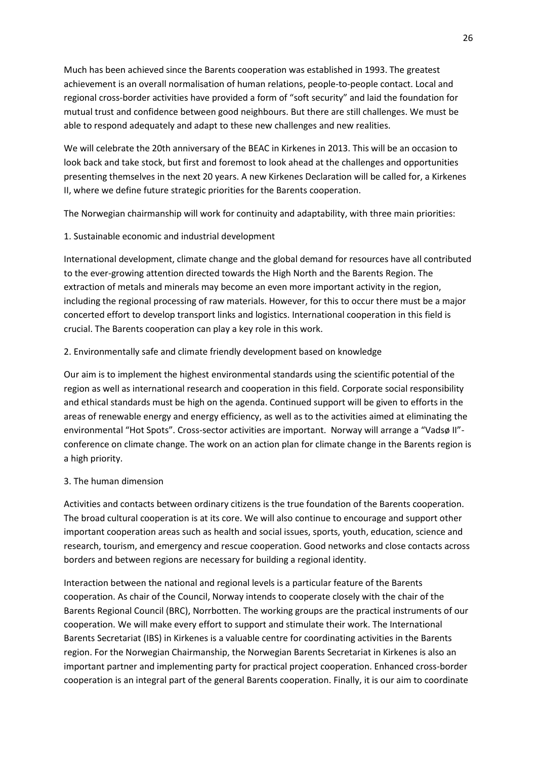Much has been achieved since the Barents cooperation was established in 1993. The greatest achievement is an overall normalisation of human relations, people-to-people contact. Local and regional cross-border activities have provided a form of "soft security" and laid the foundation for mutual trust and confidence between good neighbours. But there are still challenges. We must be able to respond adequately and adapt to these new challenges and new realities.

We will celebrate the 20th anniversary of the BEAC in Kirkenes in 2013. This will be an occasion to look back and take stock, but first and foremost to look ahead at the challenges and opportunities presenting themselves in the next 20 years. A new Kirkenes Declaration will be called for, a Kirkenes II, where we define future strategic priorities for the Barents cooperation.

The Norwegian chairmanship will work for continuity and adaptability, with three main priorities:

1. Sustainable economic and industrial development

International development, climate change and the global demand for resources have all contributed to the ever-growing attention directed towards the High North and the Barents Region. The extraction of metals and minerals may become an even more important activity in the region, including the regional processing of raw materials. However, for this to occur there must be a major concerted effort to develop transport links and logistics. International cooperation in this field is crucial. The Barents cooperation can play a key role in this work.

### 2. Environmentally safe and climate friendly development based on knowledge

Our aim is to implement the highest environmental standards using the scientific potential of the region as well as international research and cooperation in this field. Corporate social responsibility and ethical standards must be high on the agenda. Continued support will be given to efforts in the areas of renewable energy and energy efficiency, as well as to the activities aimed at eliminating the environmental "Hot Spots". Cross-sector activities are important. Norway will arrange a "Vadsø II"conference on climate change. The work on an action plan for climate change in the Barents region is a high priority.

#### 3. The human dimension

Activities and contacts between ordinary citizens is the true foundation of the Barents cooperation. The broad cultural cooperation is at its core. We will also continue to encourage and support other important cooperation areas such as health and social issues, sports, youth, education, science and research, tourism, and emergency and rescue cooperation. Good networks and close contacts across borders and between regions are necessary for building a regional identity.

Interaction between the national and regional levels is a particular feature of the Barents cooperation. As chair of the Council, Norway intends to cooperate closely with the chair of the Barents Regional Council (BRC), Norrbotten. The working groups are the practical instruments of our cooperation. We will make every effort to support and stimulate their work. The International Barents Secretariat (IBS) in Kirkenes is a valuable centre for coordinating activities in the Barents region. For the Norwegian Chairmanship, the Norwegian Barents Secretariat in Kirkenes is also an important partner and implementing party for practical project cooperation. Enhanced cross-border cooperation is an integral part of the general Barents cooperation. Finally, it is our aim to coordinate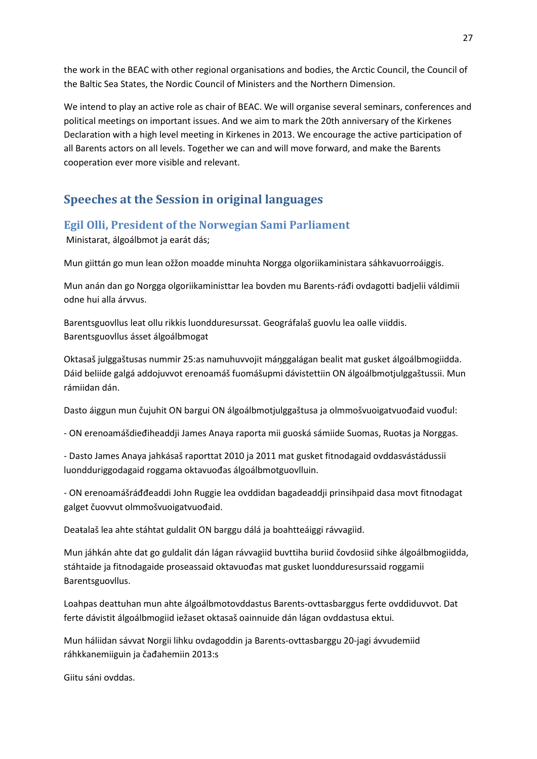the work in the BEAC with other regional organisations and bodies, the Arctic Council, the Council of the Baltic Sea States, the Nordic Council of Ministers and the Northern Dimension.

We intend to play an active role as chair of BEAC. We will organise several seminars, conferences and political meetings on important issues. And we aim to mark the 20th anniversary of the Kirkenes Declaration with a high level meeting in Kirkenes in 2013. We encourage the active participation of all Barents actors on all levels. Together we can and will move forward, and make the Barents cooperation ever more visible and relevant.

# <span id="page-26-0"></span>**Speeches at the Session in original languages**

### <span id="page-26-1"></span>**Egil Olli, President of the Norwegian Sami Parliament**

Ministarat, álgoálbmot ja earát dás;

Mun giittán go mun lean ožžon moadde minuhta Norgga olgoriikaministara sáhkavuorroáiggis.

Mun anán dan go Norgga olgoriikaministtar lea bovden mu Barents-ráđi ovdagotti badjelii váldimii odne hui alla árvvus.

Barentsguovllus leat ollu rikkis luondduresurssat. Geográfalaš guovlu lea oalle viiddis. Barentsguovllus ásset álgoálbmogat

Oktasaš julggaštusas nummir 25:as namuhuvvojit máŋggalágan bealit mat gusket álgoálbmogiidda. Dáid beliide galgá addojuvvot erenoamáš fuomášupmi dávistettiin ON álgoálbmotjulggaštussii. Mun rámiidan dán.

Dasto áiggun mun čujuhit ON bargui ON álgoálbmotjulggaštusa ja olmmošvuoigatvuođaid vuođul:

- ON erenoamášdieđiheaddji James Anaya raporta mii guoská sámiide Suomas, Ruoŧas ja Norggas.

- Dasto James Anaya jahkásaš raporttat 2010 ja 2011 mat gusket fitnodagaid ovddasvástádussii luondduriggodagaid roggama oktavuođas álgoálbmotguovlluin.

- ON erenoamášráđđeaddi John Ruggie lea ovddidan bagadeaddji prinsihpaid dasa movt fitnodagat galget čuovvut olmmošvuoigatvuođaid.

Deaŧalaš lea ahte stáhtat guldalit ON barggu dálá ja boahtteáiggi rávvagiid.

Mun jáhkán ahte dat go guldalit dán lágan rávvagiid buvttiha buriid čovdosiid sihke álgoálbmogiidda, stáhtaide ja fitnodagaide proseassaid oktavuođas mat gusket luondduresurssaid roggamii Barentsguovllus.

Loahpas deattuhan mun ahte álgoálbmotovddastus Barents-ovttasbarggus ferte ovddiduvvot. Dat ferte dávistit álgoálbmogiid iežaset oktasaš oainnuide dán lágan ovddastusa ektui.

Mun háliidan sávvat Norgii lihku ovdagoddin ja Barents-ovttasbarggu 20-jagi ávvudemiid ráhkkanemiiguin ja čađahemiin 2013:s

Giitu sáni ovddas.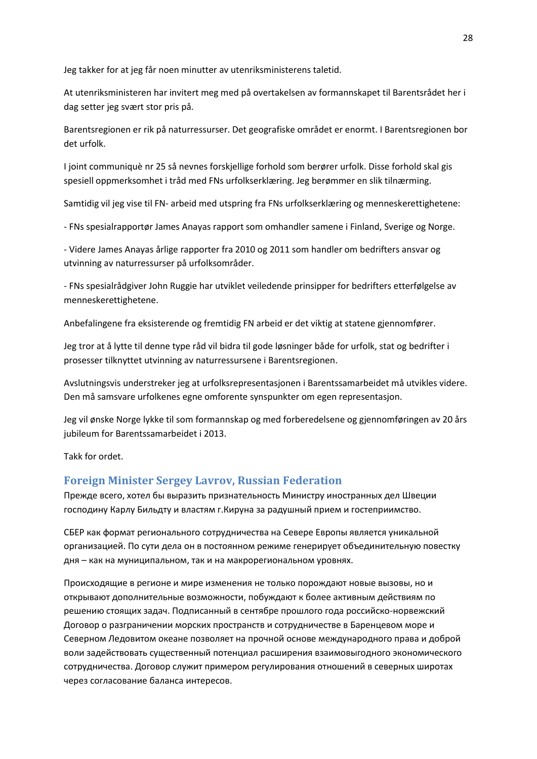Jeg takker for at jeg får noen minutter av utenriksministerens taletid.

At utenriksministeren har invitert meg med på overtakelsen av formannskapet til Barentsrådet her i dag setter jeg svært stor pris på.

Barentsregionen er rik på naturressurser. Det geografiske området er enormt. I Barentsregionen bor det urfolk.

I joint communiquè nr 25 så nevnes forskjellige forhold som berører urfolk. Disse forhold skal gis spesiell oppmerksomhet i tråd med FNs urfolkserklæring. Jeg berømmer en slik tilnærming.

Samtidig vil jeg vise til FN- arbeid med utspring fra FNs urfolkserklæring og menneskerettighetene:

- FNs spesialrapportør James Anayas rapport som omhandler samene i Finland, Sverige og Norge.

- Videre James Anayas årlige rapporter fra 2010 og 2011 som handler om bedrifters ansvar og utvinning av naturressurser på urfolksområder.

- FNs spesialrådgiver John Ruggie har utviklet veiledende prinsipper for bedrifters etterfølgelse av menneskerettighetene.

Anbefalingene fra eksisterende og fremtidig FN arbeid er det viktig at statene gjennomfører.

Jeg tror at å lytte til denne type råd vil bidra til gode løsninger både for urfolk, stat og bedrifter i prosesser tilknyttet utvinning av naturressursene i Barentsregionen.

Avslutningsvis understreker jeg at urfolksrepresentasjonen i Barentssamarbeidet må utvikles videre. Den må samsvare urfolkenes egne omforente synspunkter om egen representasjon.

Jeg vil ønske Norge lykke til som formannskap og med forberedelsene og gjennomføringen av 20 års jubileum for Barentssamarbeidet i 2013.

Takk for ordet.

### <span id="page-27-0"></span>**Foreign Minister Sergey Lavrov, Russian Federation**

Прежде всего, хотел бы выразить признательность Министру иностранных дел Швеции господину Карлу Бильдту и властям г.Кируна за радушный прием и гостеприимство.

СБЕР как формат регионального сотрудничества на Севере Европы является уникальной организацией. По сути дела он в постоянном режиме генерирует объединительную повестку дня – как на муниципальном, так и на макрорегиональном уровнях.

Происходящие в регионе и мире изменения не только порождают новые вызовы, но и открывают дополнительные возможности, побуждают к более активным действиям по решению стоящих задач. Подписанный в сентябре прошлого года российско-норвежский Договор о разграничении морских пространств и сотрудничестве в Баренцевом море и Северном Ледовитом океане позволяет на прочной основе международного права и доброй воли задействовать существенный потенциал расширения взаимовыгодного экономического сотрудничества. Договор служит примером регулирования отношений в северных широтах через согласование баланса интересов.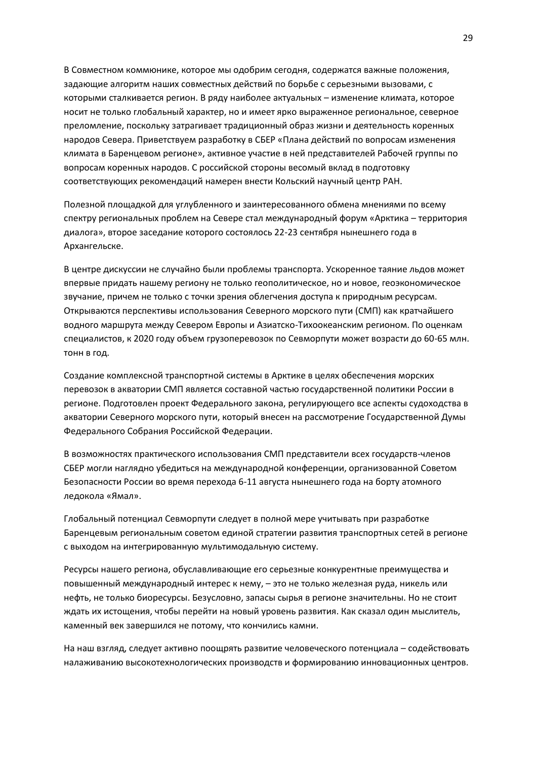В Совместном коммюнике, которое мы одобрим сегодня, содержатся важные положения, задающие алгоритм наших совместных действий по борьбе с серьезными вызовами, с которыми сталкивается регион. В ряду наиболее актуальных – изменение климата, которое носит не только глобальный характер, но и имеет ярко выраженное региональное, северное преломление, поскольку затрагивает традиционный образ жизни и деятельность коренных народов Севера. Приветствуем разработку в СБЕР «Плана действий по вопросам изменения климата в Баренцевом регионе», активное участие в ней представителей Рабочей группы по вопросам коренных народов. С российской стороны весомый вклад в подготовку соответствующих рекомендаций намерен внести Кольский научный центр РАН.

Полезной площадкой для углубленного и заинтересованного обмена мнениями по всему спектру региональных проблем на Севере стал международный форум «Арктика – территория диалога», второе заседание которого состоялось 22-23 сентября нынешнего года в Архангельске.

В центре дискуссии не случайно были проблемы транспорта. Ускоренное таяние льдов может впервые придать нашему региону не только геополитическое, но и новое, геоэкономическое звучание, причем не только с точки зрения облегчения доступа к природным ресурсам. Открываются перспективы использования Северного морского пути (СМП) как кратчайшего водного маршрута между Севером Европы и Азиатско-Тихоокеанским регионом. По оценкам специалистов, к 2020 году объем грузоперевозок по Севморпути может возрасти до 60-65 млн. тонн в год.

Создание комплексной транспортной системы в Арктике в целях обеспечения морских перевозок в акватории СМП является составной частью государственной политики России в регионе. Подготовлен проект Федерального закона, регулирующего все аспекты судоходства в акватории Северного морского пути, который внесен на рассмотрение Государственной Думы Федерального Собрания Российской Федерации.

В возможностях практического использования СМП представители всех государств-членов СБЕР могли наглядно убедиться на международной конференции, организованной Советом Безопасности России во время перехода 6-11 августа нынешнего года на борту атомного ледокола «Ямал».

Глобальный потенциал Севморпути следует в полной мере учитывать при разработке Баренцевым региональным советом единой стратегии развития транспортных сетей в регионе с выходом на интегрированную мультимодальную систему.

Ресурсы нашего региона, обуславливающие его серьезные конкурентные преимущества и повышенный международный интерес к нему, – это не только железная руда, никель или нефть, не только биоресурсы. Безусловно, запасы сырья в регионе значительны. Но не стоит ждать их истощения, чтобы перейти на новый уровень развития. Как сказал один мыслитель, каменный век завершился не потому, что кончились камни.

На наш взгляд, следует активно поощрять развитие человеческого потенциала – содействовать налаживанию высокотехнологических производств и формированию инновационных центров.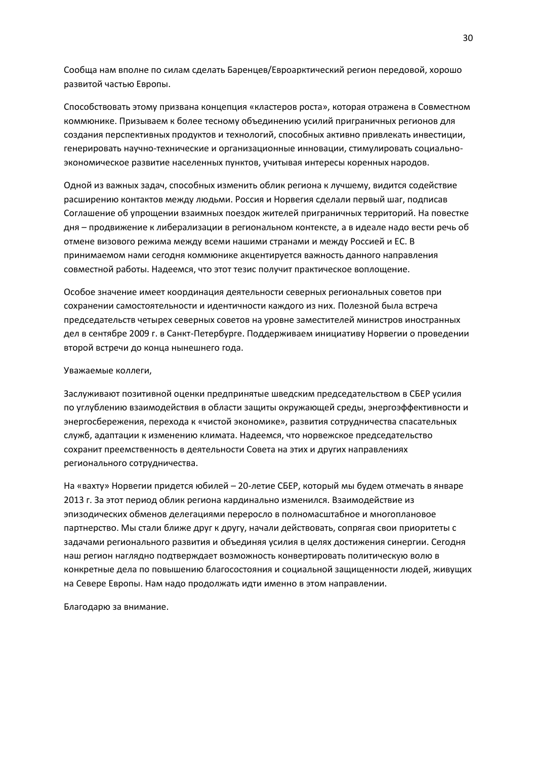Сообща нам вполне по силам сделать Баренцев/Евроарктический регион передовой, хорошо развитой частью Европы.

Способствовать этому призвана концепция «кластеров роста», которая отражена в Совместном коммюнике. Призываем к более тесному объединению усилий приграничных регионов для создания перспективных продуктов и технологий, способных активно привлекать инвестиции, генерировать научно-технические и организационные инновации, стимулировать социальноэкономическое развитие населенных пунктов, учитывая интересы коренных народов.

Одной из важных задач, способных изменить облик региона к лучшему, видится содействие расширению контактов между людьми. Россия и Норвегия сделали первый шаг, подписав Соглашение об упрощении взаимных поездок жителей приграничных территорий. На повестке дня – продвижение к либерализации в региональном контексте, а в идеале надо вести речь об отмене визового режима между всеми нашими странами и между Россией и ЕС. В принимаемом нами сегодня коммюнике акцентируется важность данного направления совместной работы. Надеемся, что этот тезис получит практическое воплощение.

Особое значение имеет координация деятельности северных региональных советов при сохранении самостоятельности и идентичности каждого из них. Полезной была встреча председательств четырех северных советов на уровне заместителей министров иностранных дел в сентябре 2009 г. в Санкт-Петербурге. Поддерживаем инициативу Норвегии о проведении второй встречи до конца нынешнего года.

#### Уважаемые коллеги,

Заслуживают позитивной оценки предпринятые шведским председательством в СБЕР усилия по углублению взаимодействия в области защиты окружающей среды, энергоэффективности и энергосбережения, перехода к «чистой экономике», развития сотрудничества спасательных служб, адаптации к изменению климата. Надеемся, что норвежское председательство сохранит преемственность в деятельности Совета на этих и других направлениях регионального сотрудничества.

На «вахту» Норвегии придется юбилей – 20-летие СБЕР, который мы будем отмечать в январе 2013 г. За этот период облик региона кардинально изменился. Взаимодействие из эпизодических обменов делегациями переросло в полномасштабное и многоплановое партнерство. Мы стали ближе друг к другу, начали действовать, сопрягая свои приоритеты с задачами регионального развития и объединяя усилия в целях достижения синергии. Сегодня наш регион наглядно подтверждает возможность конвертировать политическую волю в конкретные дела по повышению благосостояния и социальной защищенности людей, живущих на Севере Европы. Нам надо продолжать идти именно в этом направлении.

Благодарю за внимание.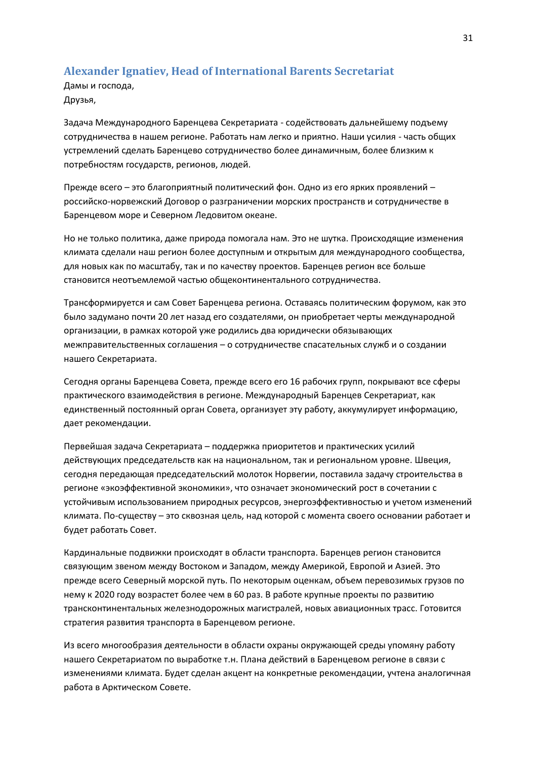## <span id="page-30-0"></span>**Alexander Ignatiev, Head of International Barents Secretariat**

Дамы и господа, Друзья,

Задача Международного Баренцева Секретариата - содействовать дальнейшему подъему сотрудничества в нашем регионе. Работать нам легко и приятно. Наши усилия - часть общих устремлений сделать Баренцево сотрудничество более динамичным, более близким к потребностям государств, регионов, людей.

Прежде всего – это благоприятный политический фон. Одно из его ярких проявлений – российско-норвежский Договор о разграничении морских пространств и сотрудничестве в Баренцевом море и Северном Ледовитом океане.

Но не только политика, даже природа помогала нам. Это не шутка. Происходящие изменения климата сделали наш регион более доступным и открытым для международного сообщества, для новых как по масштабу, так и по качеству проектов. Баренцев регион все больше становится неотъемлемой частью общеконтинентального сотрудничества.

Трансформируется и сам Совет Баренцева региона. Оставаясь политическим форумом, как это было задумано почти 20 лет назад его создателями, он приобретает черты международной организации, в рамках которой уже родились два юридически обязывающих межправительственных соглашения – о сотрудничестве спасательных служб и о создании нашего Секретариата.

Сегодня органы Баренцева Совета, прежде всего его 16 рабочих групп, покрывают все сферы практического взаимодействия в регионе. Международный Баренцев Секретариат, как единственный постоянный орган Совета, организует эту работу, аккумулирует информацию, дает рекомендации.

Первейшая задача Секретариата – поддержка приоритетов и практических усилий действующих председательств как на национальном, так и региональном уровне. Швеция, сегодня передающая председательский молоток Норвегии, поставила задачу строительства в регионе «экоэффективной экономики», что означает экономический рост в сочетании с устойчивым использованием природных ресурсов, энергоэффективностью и учетом изменений климата. По-существу – это сквозная цель, над которой с момента своего основании работает и будет работать Совет.

Кардинальные подвижки происходят в области транспорта. Баренцев регион становится связующим звеном между Востоком и Западом, между Америкой, Европой и Азией. Это прежде всего Северный морской путь. По некоторым оценкам, объем перевозимых грузов по нему к 2020 году возрастет более чем в 60 раз. В работе крупные проекты по развитию трансконтинентальных железнодорожных магистралей, новых авиационных трасс. Готовится стратегия развития транспорта в Баренцевом регионе.

Из всего многообразия деятельности в области охраны окружающей среды упомяну работу нашего Секретариатом по выработке т.н. Плана действий в Баренцевом регионе в связи с изменениями климата. Будет сделан акцент на конкретные рекомендации, учтена аналогичная работа в Арктическом Совете.